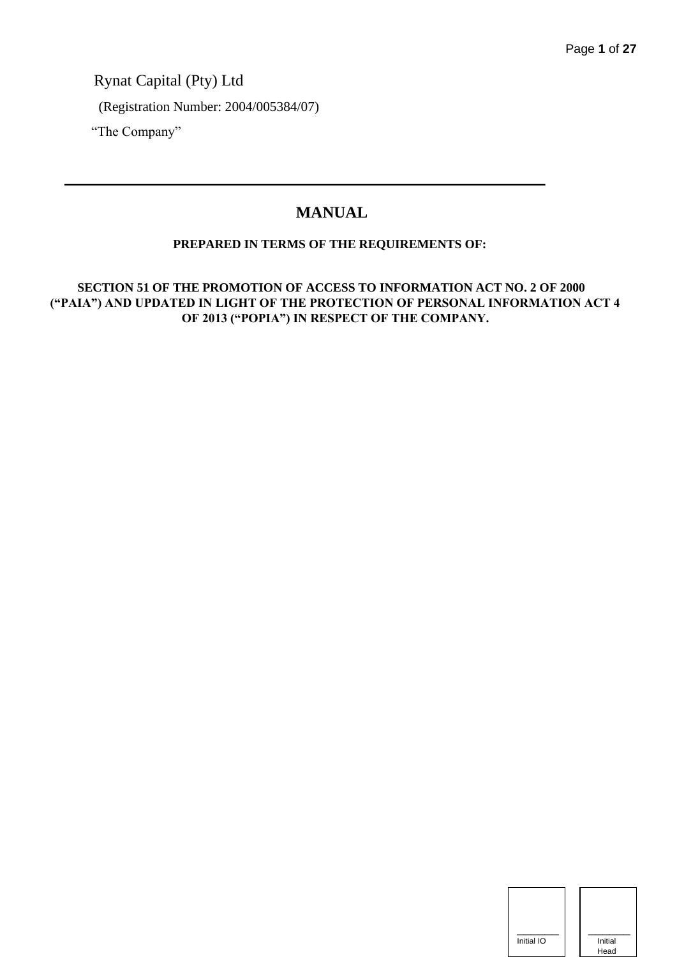Rynat Capital (Pty) Ltd

(Registration Number: 2004/005384/07)

"The Company"

# **MANUAL**

# **PREPARED IN TERMS OF THE REQUIREMENTS OF:**

# **SECTION 51 OF THE PROMOTION OF ACCESS TO INFORMATION ACT NO. 2 OF 2000 ("PAIA") AND UPDATED IN LIGHT OF THE PROTECTION OF PERSONAL INFORMATION ACT 4 OF 2013 ("POPIA") IN RESPECT OF THE COMPANY.**

| Initial IO | Initial<br>Head |
|------------|-----------------|

 $\sqrt{ }$ 1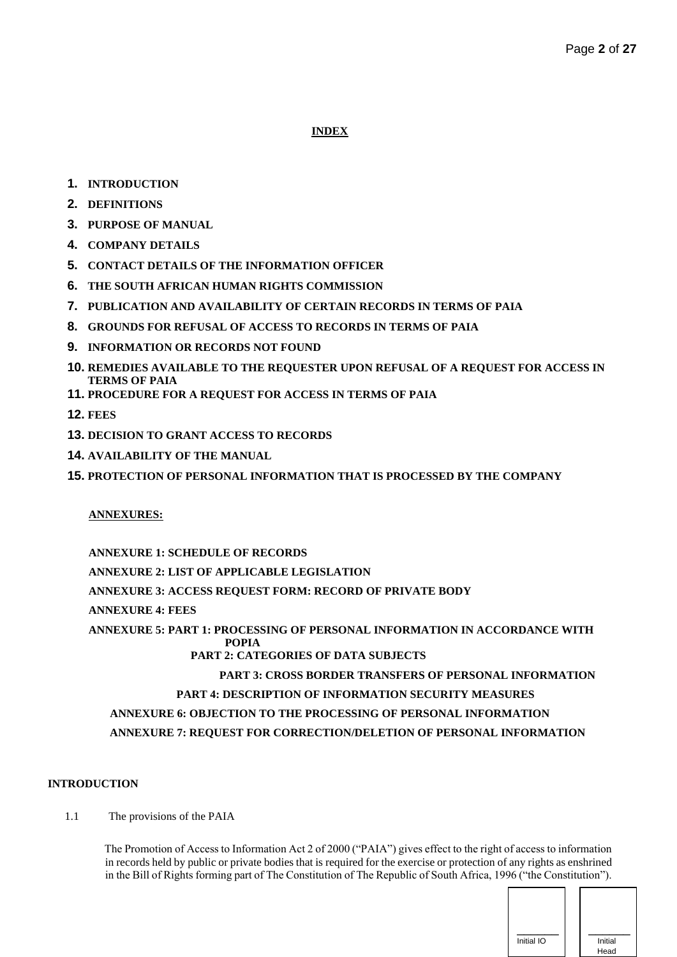# **INDEX**

# **1. INTRODUCTION**

- **2. DEFINITIONS**
- **3. PURPOSE OF MANUAL**
- **4. COMPANY DETAILS**
- **5. CONTACT DETAILS OF THE INFORMATION OFFICER**
- **6. THE SOUTH AFRICAN HUMAN RIGHTS COMMISSION**
- **7. PUBLICATION AND AVAILABILITY OF CERTAIN RECORDS IN TERMS OF PAIA**
- **8. GROUNDS FOR REFUSAL OF ACCESS TO RECORDS IN TERMS OF PAIA**
- **9. INFORMATION OR RECORDS NOT FOUND**
- **10. REMEDIES AVAILABLE TO THE REQUESTER UPON REFUSAL OF A REQUEST FOR ACCESS IN TERMS OF PAIA**
- **11. PROCEDURE FOR A REQUEST FOR ACCESS IN TERMS OF PAIA**
- **12. FEES**
- **13. DECISION TO GRANT ACCESS TO RECORDS**
- **14. AVAILABILITY OF THE MANUAL**
- **15. PROTECTION OF PERSONAL INFORMATION THAT IS PROCESSED BY THE COMPANY**

# **ANNEXURES:**

**ANNEXURE 1: SCHEDULE OF RECORDS ANNEXURE 2: LIST OF APPLICABLE LEGISLATION ANNEXURE 3: ACCESS REQUEST FORM: RECORD OF PRIVATE BODY ANNEXURE 4: FEES ANNEXURE 5: PART 1: PROCESSING OF PERSONAL INFORMATION IN ACCORDANCE WITH POPIA PART 2: CATEGORIES OF DATA SUBJECTS PART 3: CROSS BORDER TRANSFERS OF PERSONAL INFORMATION PART 4: DESCRIPTION OF INFORMATION SECURITY MEASURES ANNEXURE 6: OBJECTION TO THE PROCESSING OF PERSONAL INFORMATION ANNEXURE 7: REQUEST FOR CORRECTION/DELETION OF PERSONAL INFORMATION** 

### **INTRODUCTION**

1.1 The provisions of the PAIA

The Promotion of Access to Information Act 2 of 2000 ("PAIA") gives effect to the right of access to information in records held by public or private bodies that is required for the exercise or protection of any rights as enshrined in the Bill of Rights forming part of The Constitution of The Republic of South Africa, 1996 ("the Constitution").

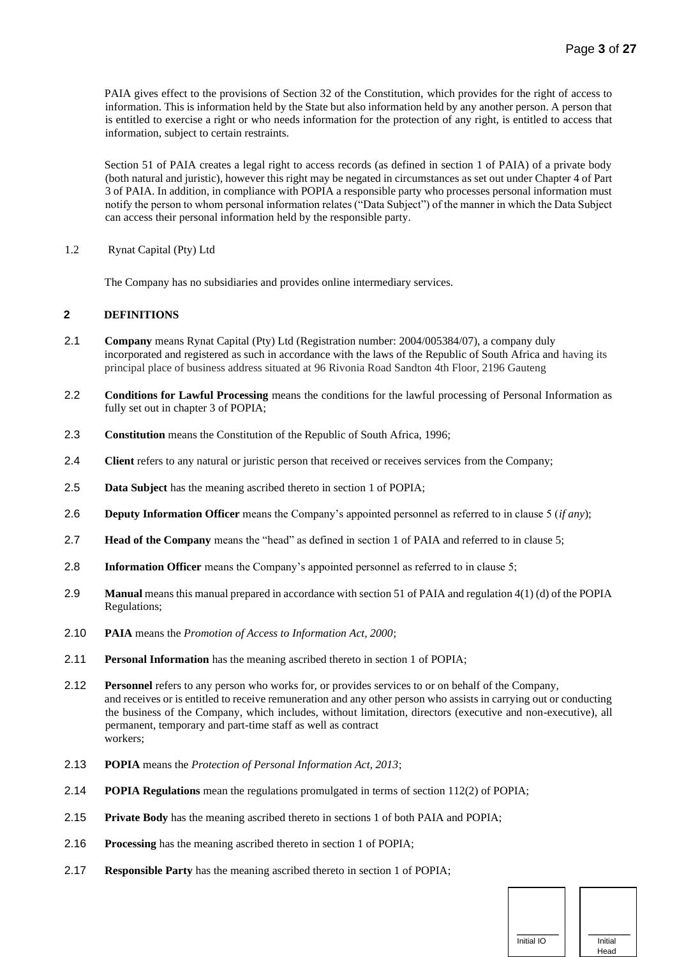PAIA gives effect to the provisions of Section 32 of the Constitution, which provides for the right of access to information. This is information held by the State but also information held by any another person. A person that is entitled to exercise a right or who needs information for the protection of any right, is entitled to access that information, subject to certain restraints.

Section 51 of PAIA creates a legal right to access records (as defined in section 1 of PAIA) of a private body (both natural and juristic), however this right may be negated in circumstances as set out under Chapter 4 of Part 3 of PAIA. In addition, in compliance with POPIA a responsible party who processes personal information must notify the person to whom personal information relates ("Data Subject") of the manner in which the Data Subject can access their personal information held by the responsible party.

1.2 Rynat Capital (Pty) Ltd

The Company has no subsidiaries and provides online intermediary services.

# **2 DEFINITIONS**

- 2.1 **Company** means Rynat Capital (Pty) Ltd (Registration number: 2004/005384/07), a company duly incorporated and registered as such in accordance with the laws of the Republic of South Africa and having its principal place of business address situated at 96 Rivonia Road Sandton 4th Floor, 2196 Gauteng
- 2.2 **Conditions for Lawful Processing** means the conditions for the lawful processing of Personal Information as fully set out in chapter 3 of POPIA;
- 2.3 **Constitution** means the Constitution of the Republic of South Africa, 1996;
- 2.4 **Client** refers to any natural or juristic person that received or receives services from the Company;
- 2.5 **Data Subject** has the meaning ascribed thereto in section 1 of POPIA;
- 2.6 **Deputy Information Officer** means the Company's appointed personnel as referred to in clause 5 (*if any*);
- 2.7 **Head of the Company** means the "head" as defined in section 1 of PAIA and referred to in clause 5;
- 2.8 **Information Officer** means the Company's appointed personnel as referred to in clause 5;
- 2.9 **Manual** means this manual prepared in accordance with section 51 of PAIA and regulation 4(1) (d) of the POPIA Regulations;
- 2.10 **PAIA** means the *Promotion of Access to Information Act, 2000*;
- 2.11 **Personal Information** has the meaning ascribed thereto in section 1 of POPIA;
- 2.12 **Personnel** refers to any person who works for, or provides services to or on behalf of the Company, and receives or is entitled to receive remuneration and any other person who assists in carrying out or conducting the business of the Company, which includes, without limitation, directors (executive and non-executive), all permanent, temporary and part-time staff as well as contract workers;
- 2.13 **POPIA** means the *Protection of Personal Information Act, 2013*;
- 2.14 **POPIA Regulations** mean the regulations promulgated in terms of section 112(2) of POPIA;
- 2.15 **Private Body** has the meaning ascribed thereto in sections 1 of both PAIA and POPIA;
- 2.16 **Processing** has the meaning ascribed thereto in section 1 of POPIA;
- 2.17 **Responsible Party** has the meaning ascribed thereto in section 1 of POPIA;

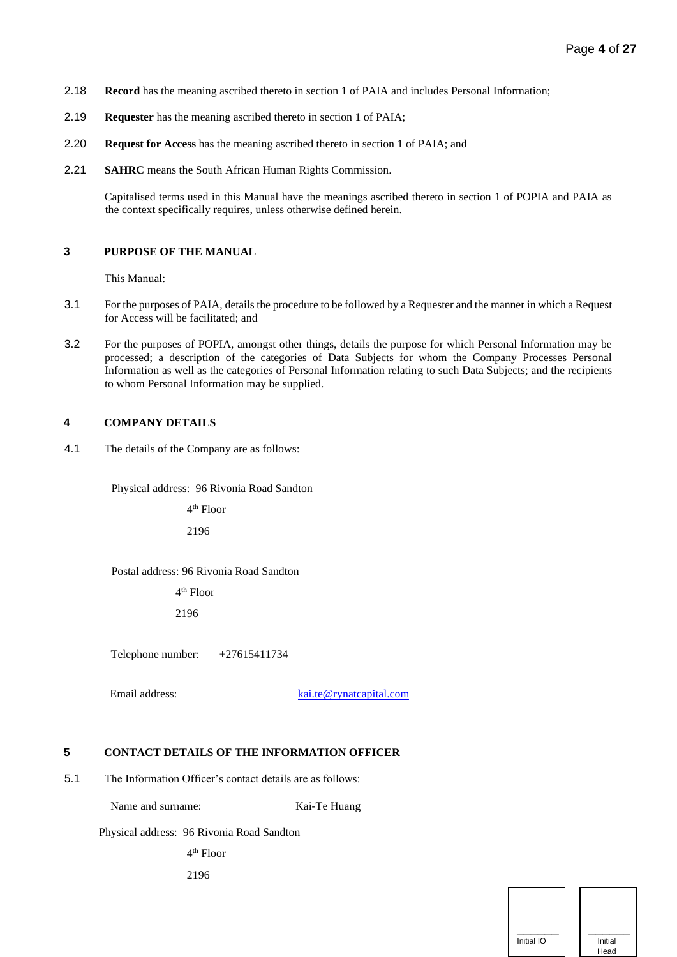- 2.18 **Record** has the meaning ascribed thereto in section 1 of PAIA and includes Personal Information;
- 2.19 **Requester** has the meaning ascribed thereto in section 1 of PAIA;
- 2.20 **Request for Access** has the meaning ascribed thereto in section 1 of PAIA; and
- 2.21 **SAHRC** means the South African Human Rights Commission.

Capitalised terms used in this Manual have the meanings ascribed thereto in section 1 of POPIA and PAIA as the context specifically requires, unless otherwise defined herein.

### **3 PURPOSE OF THE MANUAL**

This Manual:

- 3.1 For the purposes of PAIA, details the procedure to be followed by a Requester and the manner in which a Request for Access will be facilitated; and
- 3.2 For the purposes of POPIA, amongst other things, details the purpose for which Personal Information may be processed; a description of the categories of Data Subjects for whom the Company Processes Personal Information as well as the categories of Personal Information relating to such Data Subjects; and the recipients to whom Personal Information may be supplied.

### **4 COMPANY DETAILS**

4.1 The details of the Company are as follows:

Physical address: 96 Rivonia Road Sandton

 4  $4<sup>th</sup>$  Floor

2196

Postal address: 96 Rivonia Road Sandton

 4  $4<sup>th</sup>$  Floor

2196

Telephone number: +27615411734

Email address: kai.te@rynatcapital.com

# **5 CONTACT DETAILS OF THE INFORMATION OFFICER**

5.1 The Information Officer's contact details are as follows:

Name and surname: Kai-Te Huang

Physical address: 96 Rivonia Road Sandton

 4  $4<sup>th</sup>$  Floor

2196



 $\overline{\phantom{a}}$ Initial Head

 $\overline{\phantom{a}}$ Initial IO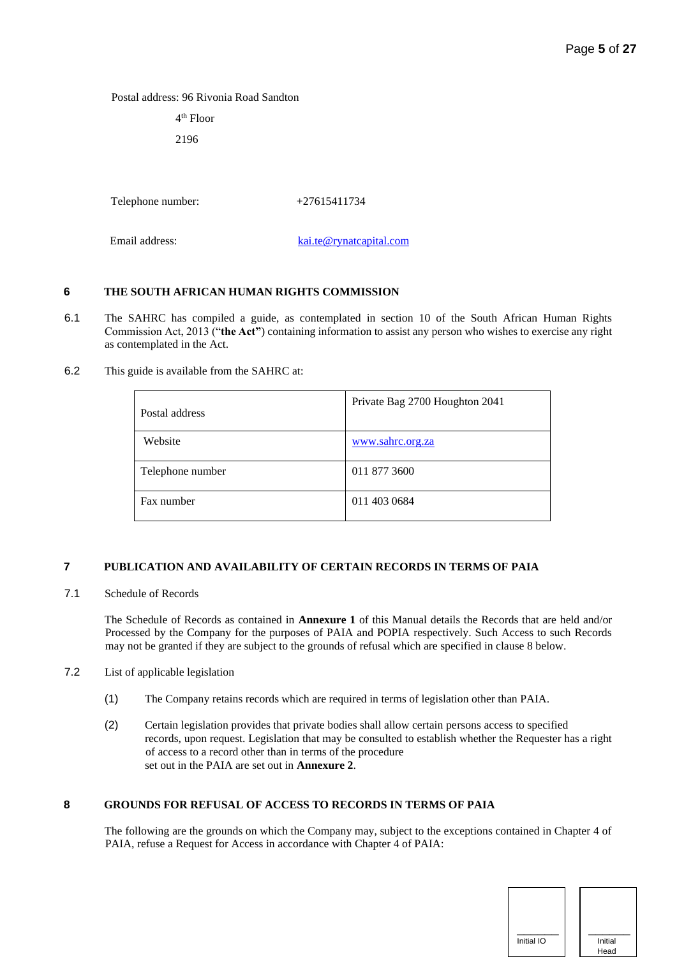Postal address: 96 Rivonia Road Sandton

 4  $4<sup>th</sup>$  Floor

2196

Telephone number:  $+27615411734$ 

Email address: kai.te@rynatcapital.com

# **6 THE SOUTH AFRICAN HUMAN RIGHTS COMMISSION**

- 6.1 The SAHRC has compiled a guide, as contemplated in section 10 of the South African Human Rights Commission Act, 2013 ("**the Act"**) containing information to assist any person who wishes to exercise any right as contemplated in the Act.
- 6.2 This guide is available from the SAHRC at:

| Postal address   | Private Bag 2700 Houghton 2041 |
|------------------|--------------------------------|
| Website          | www.sahrc.org.za               |
| Telephone number | 011 877 3600                   |
| Fax number       | 011 403 0684                   |

### **7 PUBLICATION AND AVAILABILITY OF CERTAIN RECORDS IN TERMS OF PAIA**

7.1 Schedule of Records

The Schedule of Records as contained in **Annexure 1** of this Manual details the Records that are held and/or Processed by the Company for the purposes of PAIA and POPIA respectively. Such Access to such Records may not be granted if they are subject to the grounds of refusal which are specified in clause 8 below.

- 7.2 List of applicable legislation
	- (1) The Company retains records which are required in terms of legislation other than PAIA.
	- (2) Certain legislation provides that private bodies shall allow certain persons access to specified records, upon request. Legislation that may be consulted to establish whether the Requester has a right of access to a record other than in terms of the procedure set out in the PAIA are set out in **Annexure 2**.

# **8 GROUNDS FOR REFUSAL OF ACCESS TO RECORDS IN TERMS OF PAIA**

The following are the grounds on which the Company may, subject to the exceptions contained in Chapter 4 of PAIA, refuse a Request for Access in accordance with Chapter 4 of PAIA:

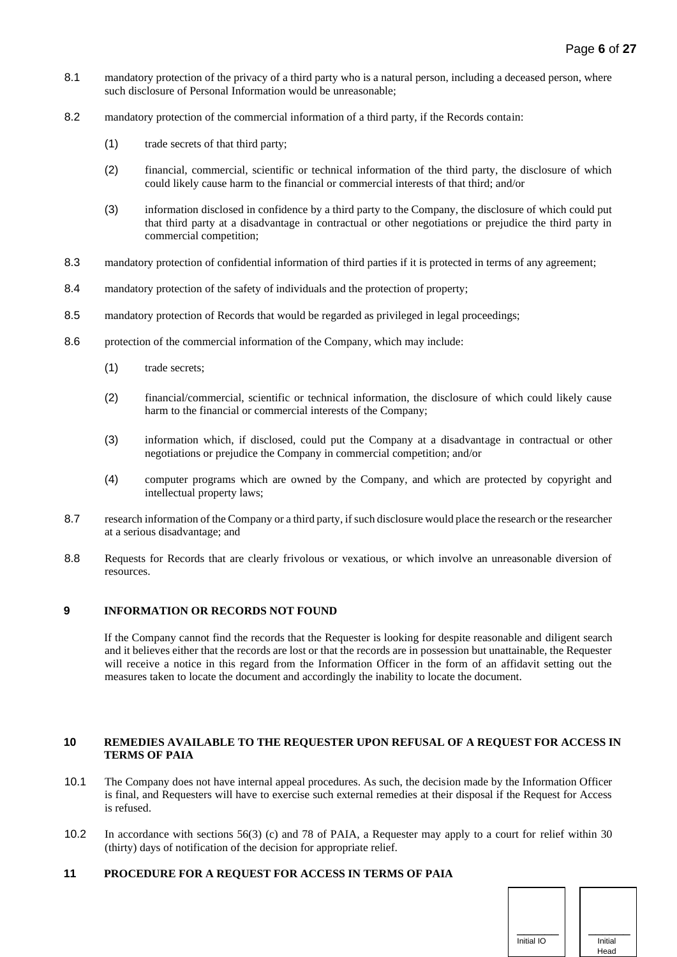- 8.1 mandatory protection of the privacy of a third party who is a natural person, including a deceased person, where such disclosure of Personal Information would be unreasonable;
- 8.2 mandatory protection of the commercial information of a third party, if the Records contain:
	- (1) trade secrets of that third party;
	- (2) financial, commercial, scientific or technical information of the third party, the disclosure of which could likely cause harm to the financial or commercial interests of that third; and/or
	- (3) information disclosed in confidence by a third party to the Company, the disclosure of which could put that third party at a disadvantage in contractual or other negotiations or prejudice the third party in commercial competition;
- 8.3 mandatory protection of confidential information of third parties if it is protected in terms of any agreement;
- 8.4 mandatory protection of the safety of individuals and the protection of property;
- 8.5 mandatory protection of Records that would be regarded as privileged in legal proceedings;
- 8.6 protection of the commercial information of the Company, which may include:
	- (1) trade secrets;
	- (2) financial/commercial, scientific or technical information, the disclosure of which could likely cause harm to the financial or commercial interests of the Company;
	- (3) information which, if disclosed, could put the Company at a disadvantage in contractual or other negotiations or prejudice the Company in commercial competition; and/or
	- (4) computer programs which are owned by the Company, and which are protected by copyright and intellectual property laws;
- 8.7 research information of the Company or a third party, if such disclosure would place the research or the researcher at a serious disadvantage; and
- 8.8 Requests for Records that are clearly frivolous or vexatious, or which involve an unreasonable diversion of resources.

### **9 INFORMATION OR RECORDS NOT FOUND**

If the Company cannot find the records that the Requester is looking for despite reasonable and diligent search and it believes either that the records are lost or that the records are in possession but unattainable, the Requester will receive a notice in this regard from the Information Officer in the form of an affidavit setting out the measures taken to locate the document and accordingly the inability to locate the document.

### **10 REMEDIES AVAILABLE TO THE REQUESTER UPON REFUSAL OF A REQUEST FOR ACCESS IN TERMS OF PAIA**

- 10.1 The Company does not have internal appeal procedures. As such, the decision made by the Information Officer is final, and Requesters will have to exercise such external remedies at their disposal if the Request for Access is refused.
- 10.2 In accordance with sections 56(3) (c) and 78 of PAIA, a Requester may apply to a court for relief within 30 (thirty) days of notification of the decision for appropriate relief.

### **11 PROCEDURE FOR A REQUEST FOR ACCESS IN TERMS OF PAIA**

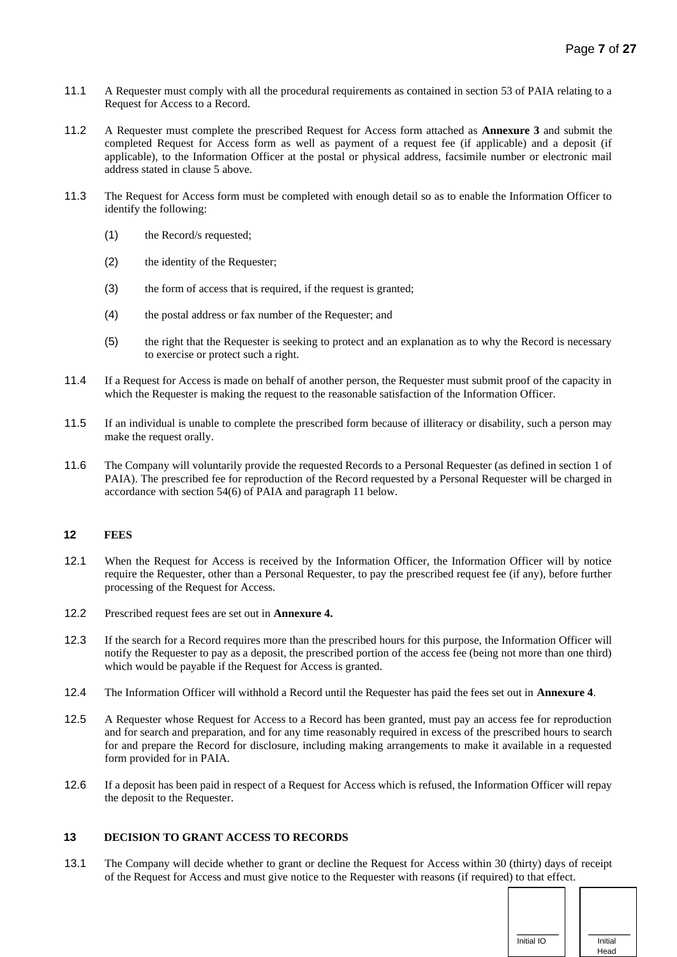- 11.1 A Requester must comply with all the procedural requirements as contained in section 53 of PAIA relating to a Request for Access to a Record.
- 11.2 A Requester must complete the prescribed Request for Access form attached as **Annexure 3** and submit the completed Request for Access form as well as payment of a request fee (if applicable) and a deposit (if applicable), to the Information Officer at the postal or physical address, facsimile number or electronic mail address stated in clause 5 above.
- 11.3 The Request for Access form must be completed with enough detail so as to enable the Information Officer to identify the following:
	- (1) the Record/s requested;
	- (2) the identity of the Requester;
	- (3) the form of access that is required, if the request is granted;
	- (4) the postal address or fax number of the Requester; and
	- (5) the right that the Requester is seeking to protect and an explanation as to why the Record is necessary to exercise or protect such a right.
- 11.4 If a Request for Access is made on behalf of another person, the Requester must submit proof of the capacity in which the Requester is making the request to the reasonable satisfaction of the Information Officer.
- 11.5 If an individual is unable to complete the prescribed form because of illiteracy or disability, such a person may make the request orally.
- 11.6 The Company will voluntarily provide the requested Records to a Personal Requester (as defined in section 1 of PAIA). The prescribed fee for reproduction of the Record requested by a Personal Requester will be charged in accordance with section 54(6) of PAIA and paragraph 11 below.

# **12 FEES**

- 12.1 When the Request for Access is received by the Information Officer, the Information Officer will by notice require the Requester, other than a Personal Requester, to pay the prescribed request fee (if any), before further processing of the Request for Access.
- 12.2 Prescribed request fees are set out in **Annexure 4.**
- 12.3 If the search for a Record requires more than the prescribed hours for this purpose, the Information Officer will notify the Requester to pay as a deposit, the prescribed portion of the access fee (being not more than one third) which would be payable if the Request for Access is granted.
- 12.4 The Information Officer will withhold a Record until the Requester has paid the fees set out in **Annexure 4**.
- 12.5 A Requester whose Request for Access to a Record has been granted, must pay an access fee for reproduction and for search and preparation, and for any time reasonably required in excess of the prescribed hours to search for and prepare the Record for disclosure, including making arrangements to make it available in a requested form provided for in PAIA.
- 12.6 If a deposit has been paid in respect of a Request for Access which is refused, the Information Officer will repay the deposit to the Requester.

# **13 DECISION TO GRANT ACCESS TO RECORDS**

13.1 The Company will decide whether to grant or decline the Request for Access within 30 (thirty) days of receipt of the Request for Access and must give notice to the Requester with reasons (if required) to that effect.

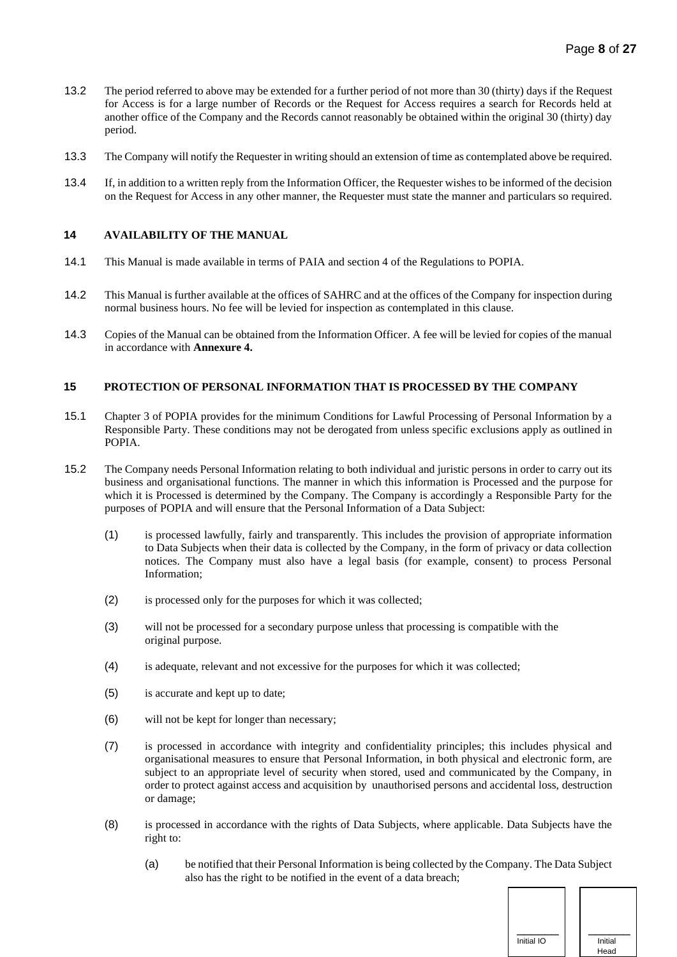- 13.2 The period referred to above may be extended for a further period of not more than 30 (thirty) days if the Request for Access is for a large number of Records or the Request for Access requires a search for Records held at another office of the Company and the Records cannot reasonably be obtained within the original 30 (thirty) day period.
- 13.3 The Company will notify the Requester in writing should an extension of time as contemplated above be required.
- 13.4 If, in addition to a written reply from the Information Officer, the Requester wishes to be informed of the decision on the Request for Access in any other manner, the Requester must state the manner and particulars so required.

### **14 AVAILABILITY OF THE MANUAL**

- 14.1 This Manual is made available in terms of PAIA and section 4 of the Regulations to POPIA.
- 14.2 This Manual is further available at the offices of SAHRC and at the offices of the Company for inspection during normal business hours. No fee will be levied for inspection as contemplated in this clause.
- 14.3 Copies of the Manual can be obtained from the Information Officer. A fee will be levied for copies of the manual in accordance with **Annexure 4.**

### **15 PROTECTION OF PERSONAL INFORMATION THAT IS PROCESSED BY THE COMPANY**

- 15.1 Chapter 3 of POPIA provides for the minimum Conditions for Lawful Processing of Personal Information by a Responsible Party. These conditions may not be derogated from unless specific exclusions apply as outlined in POPIA.
- 15.2 The Company needs Personal Information relating to both individual and juristic persons in order to carry out its business and organisational functions. The manner in which this information is Processed and the purpose for which it is Processed is determined by the Company. The Company is accordingly a Responsible Party for the purposes of POPIA and will ensure that the Personal Information of a Data Subject:
	- (1) is processed lawfully, fairly and transparently. This includes the provision of appropriate information to Data Subjects when their data is collected by the Company, in the form of privacy or data collection notices. The Company must also have a legal basis (for example, consent) to process Personal Information;
	- (2) is processed only for the purposes for which it was collected;
	- (3) will not be processed for a secondary purpose unless that processing is compatible with the original purpose.
	- (4) is adequate, relevant and not excessive for the purposes for which it was collected;
	- (5) is accurate and kept up to date;
	- (6) will not be kept for longer than necessary;
	- (7) is processed in accordance with integrity and confidentiality principles; this includes physical and organisational measures to ensure that Personal Information, in both physical and electronic form, are subject to an appropriate level of security when stored, used and communicated by the Company, in order to protect against access and acquisition by unauthorised persons and accidental loss, destruction or damage;
	- (8) is processed in accordance with the rights of Data Subjects, where applicable. Data Subjects have the right to:
		- (a) be notified that their Personal Information is being collected by the Company. The Data Subject also has the right to be notified in the event of a data breach;

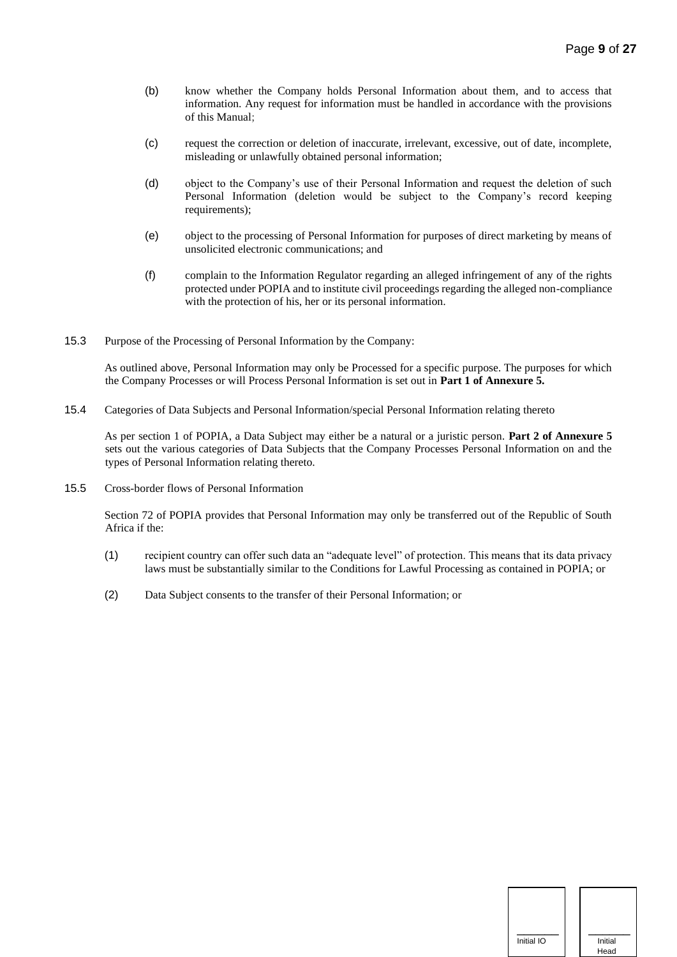- (b) know whether the Company holds Personal Information about them, and to access that information. Any request for information must be handled in accordance with the provisions of this Manual;
- (c) request the correction or deletion of inaccurate, irrelevant, excessive, out of date, incomplete, misleading or unlawfully obtained personal information;
- (d) object to the Company's use of their Personal Information and request the deletion of such Personal Information (deletion would be subject to the Company's record keeping requirements);
- (e) object to the processing of Personal Information for purposes of direct marketing by means of unsolicited electronic communications; and
- (f) complain to the Information Regulator regarding an alleged infringement of any of the rights protected under POPIA and to institute civil proceedings regarding the alleged non-compliance with the protection of his, her or its personal information.
- 15.3 Purpose of the Processing of Personal Information by the Company:

As outlined above, Personal Information may only be Processed for a specific purpose. The purposes for which the Company Processes or will Process Personal Information is set out in **Part 1 of Annexure 5.** 

15.4 Categories of Data Subjects and Personal Information/special Personal Information relating thereto

As per section 1 of POPIA, a Data Subject may either be a natural or a juristic person. **Part 2 of Annexure 5**  sets out the various categories of Data Subjects that the Company Processes Personal Information on and the types of Personal Information relating thereto.

15.5 Cross-border flows of Personal Information

Section 72 of POPIA provides that Personal Information may only be transferred out of the Republic of South Africa if the:

- (1) recipient country can offer such data an "adequate level" of protection. This means that its data privacy laws must be substantially similar to the Conditions for Lawful Processing as contained in POPIA; or
- (2) Data Subject consents to the transfer of their Personal Information; or

| Initial<br>Head |  |
|-----------------|--|

 $\overline{\phantom{a}}$ Initial IO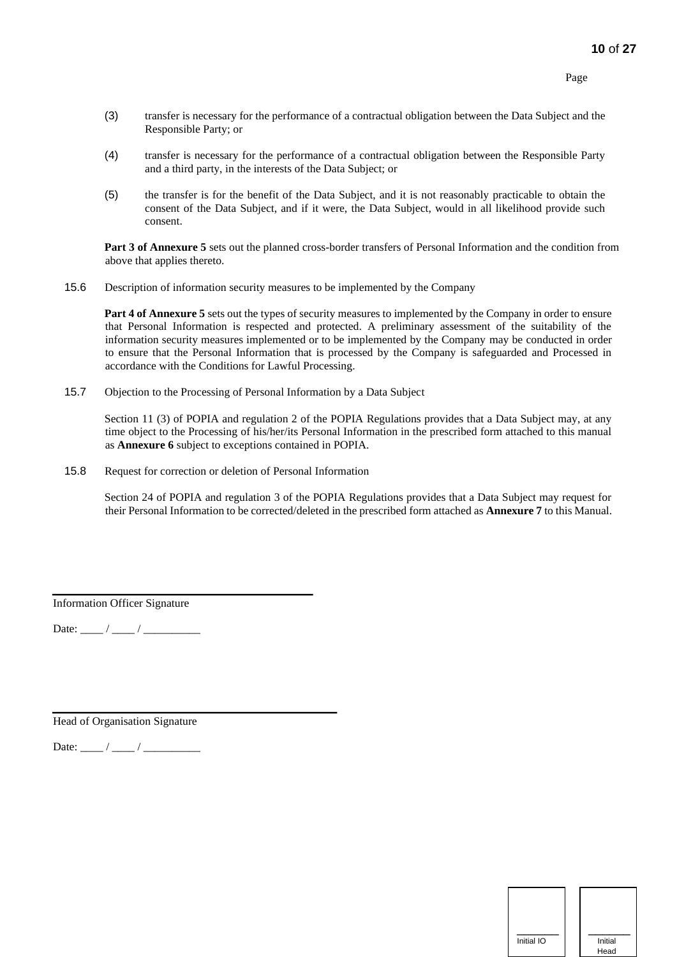- (3) transfer is necessary for the performance of a contractual obligation between the Data Subject and the Responsible Party; or
- (4) transfer is necessary for the performance of a contractual obligation between the Responsible Party and a third party, in the interests of the Data Subject; or
- (5) the transfer is for the benefit of the Data Subject, and it is not reasonably practicable to obtain the consent of the Data Subject, and if it were, the Data Subject, would in all likelihood provide such consent.

**Part 3 of Annexure 5** sets out the planned cross-border transfers of Personal Information and the condition from above that applies thereto.

15.6 Description of information security measures to be implemented by the Company

**Part 4 of Annexure 5** sets out the types of security measures to implemented by the Company in order to ensure that Personal Information is respected and protected. A preliminary assessment of the suitability of the information security measures implemented or to be implemented by the Company may be conducted in order to ensure that the Personal Information that is processed by the Company is safeguarded and Processed in accordance with the Conditions for Lawful Processing.

15.7 Objection to the Processing of Personal Information by a Data Subject

Section 11 (3) of POPIA and regulation 2 of the POPIA Regulations provides that a Data Subject may, at any time object to the Processing of his/her/its Personal Information in the prescribed form attached to this manual as **Annexure 6** subject to exceptions contained in POPIA.

15.8 Request for correction or deletion of Personal Information

Section 24 of POPIA and regulation 3 of the POPIA Regulations provides that a Data Subject may request for their Personal Information to be corrected/deleted in the prescribed form attached as **Annexure 7** to this Manual.

Information Officer Signature

Date: \_\_\_\_ / \_\_\_\_ / \_\_\_\_\_\_\_\_\_\_

Head of Organisation Signature

Date: \_\_\_\_ / \_\_\_\_ / \_\_\_\_\_\_\_\_\_\_

 $\overline{\phantom{a}}$  $\overline{\phantom{a}}$ Initial Head

Initial IO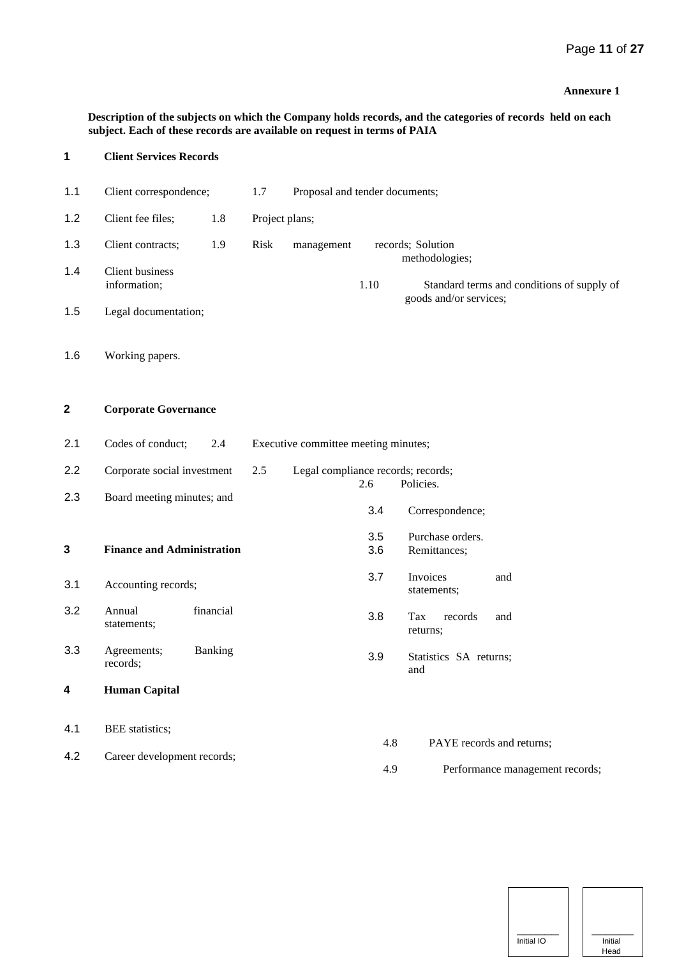### **Annexure 1**

### **Description of the subjects on which the Company holds records, and the categories of records held on each subject. Each of these records are available on request in terms of PAIA**

| 1   | <b>Client Services Records</b>    |                |                |                                      |            |                                            |
|-----|-----------------------------------|----------------|----------------|--------------------------------------|------------|--------------------------------------------|
| 1.1 | Client correspondence;            |                | 1.7            | Proposal and tender documents;       |            |                                            |
| 1.2 | Client fee files;                 | 1.8            | Project plans; |                                      |            |                                            |
| 1.3 | Client contracts;                 | 1.9            | Risk           | management                           |            | records; Solution<br>methodologies;        |
| 1.4 | Client business<br>information;   |                |                |                                      | 1.10       | Standard terms and conditions of supply of |
| 1.5 | Legal documentation;              |                |                |                                      |            | goods and/or services;                     |
| 1.6 | Working papers.                   |                |                |                                      |            |                                            |
| 2   | <b>Corporate Governance</b>       |                |                |                                      |            |                                            |
| 2.1 | Codes of conduct;                 | 2.4            |                | Executive committee meeting minutes; |            |                                            |
| 2.2 | Corporate social investment       |                | 2.5            | Legal compliance records; records;   | 2.6        | Policies.                                  |
| 2.3 | Board meeting minutes; and        |                |                |                                      | 3.4        | Correspondence;                            |
| 3   | <b>Finance and Administration</b> |                |                |                                      | 3.5<br>3.6 | Purchase orders.<br>Remittances;           |
| 3.1 | Accounting records;               |                |                |                                      | 3.7        | Invoices<br>and<br>statements;             |
| 3.2 | Annual<br>statements;             | financial      |                |                                      | 3.8        | Tax<br>records<br>and<br>returns;          |
| 3.3 | Agreements;<br>records;           | <b>Banking</b> |                |                                      | 3.9        | Statistics SA returns;<br>and              |
| 4   | <b>Human Capital</b>              |                |                |                                      |            |                                            |
| 4.1 | <b>BEE</b> statistics;            |                |                |                                      | 4.8        | PAYE records and returns;                  |
| 4.2 | Career development records;       |                |                |                                      | 4.9        | Performance management records;            |

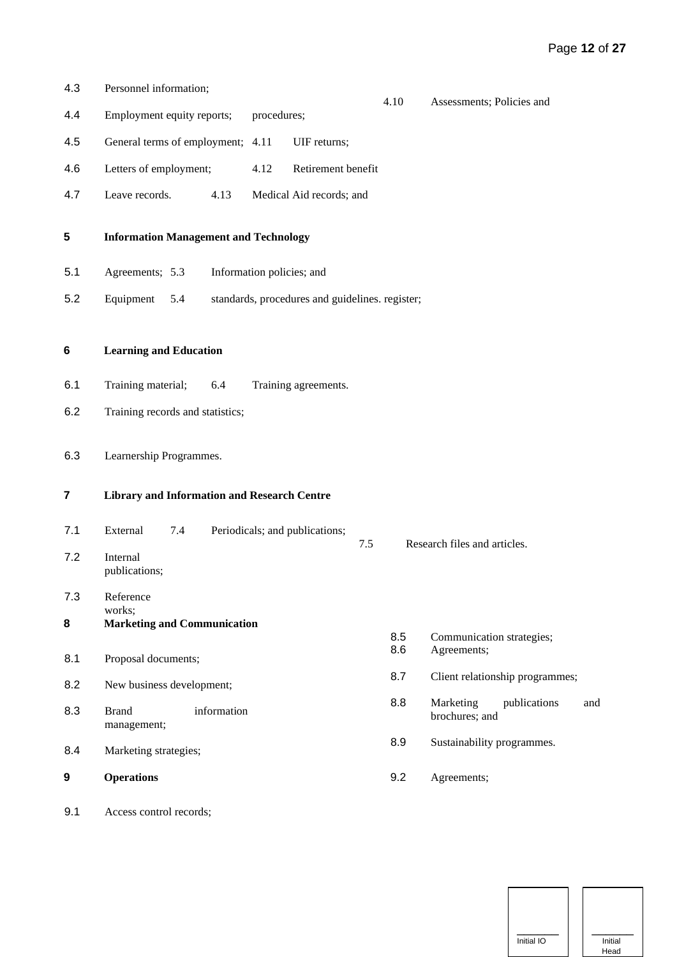4.10 Assessments; Policies and

- 4.3 Personnel information;
- 4.4 Employment equity reports; procedures;
- 4.5 General terms of employment; 4.11 UIF returns;
- 4.6 Letters of employment; 4.12 Retirement benefit
- 4.7 Leave records. 4.13 Medical Aid records; and

### **5 Information Management and Technology**

- 5.1 Agreements; 5.3 Information policies; and
- 5.2 Equipment 5.4 standards, procedures and guidelines. register;
- **6 Learning and Education**
- 6.1 Training material; 6.4 Training agreements.
- 6.2 Training records and statistics;
- 6.3 Learnership Programmes.

### **7 Library and Information and Research Centre**

- 7.1 External 7.4 Periodicals; and publications; 7.5 Research files and articles. 7.2 Internal publications; 7.3 Reference works; **8 Marketing and Communication**  8.1 Proposal documents; 8.2 New business development; 8.3 Brand information management; 8.4 Marketing strategies; 8.5 Communication strategies; 8.6 Agreements; 8.7 Client relationship programmes; 8.8 Marketing publications and brochures; and 8.9 Sustainability programmes. **9 Operations**  9.2 Agreements;
- 9.1 Access control records;

 $\overline{\phantom{a}}$ Initial IO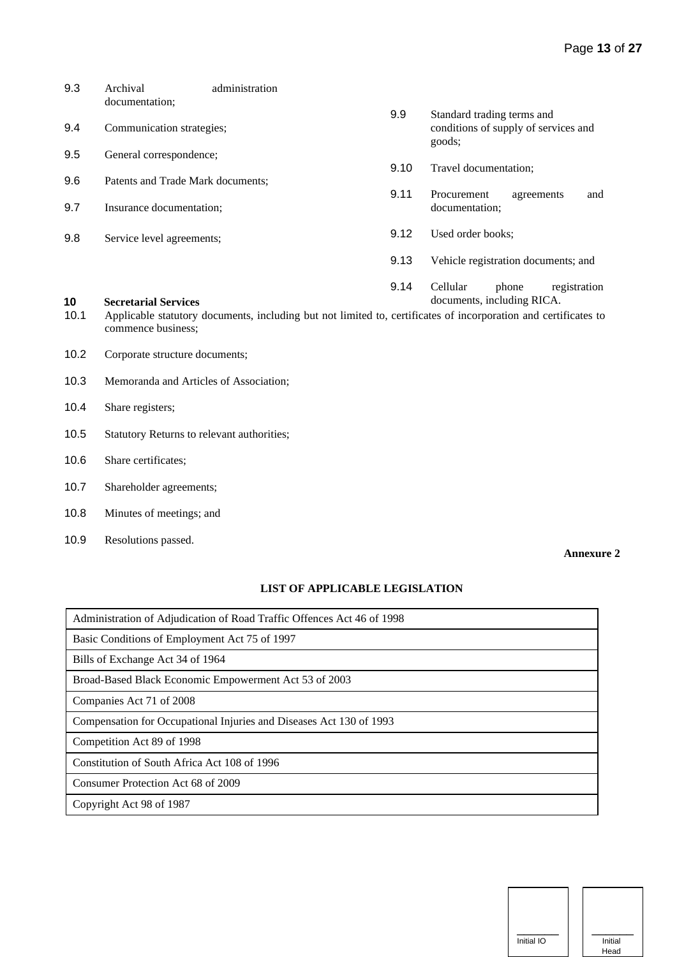| 9.3        | Archival<br>documentation;                        | administration |      |                                                                                                                                                                                    |
|------------|---------------------------------------------------|----------------|------|------------------------------------------------------------------------------------------------------------------------------------------------------------------------------------|
| 9.4        | Communication strategies;                         |                | 9.9  | Standard trading terms and<br>conditions of supply of services and<br>goods;                                                                                                       |
| 9.5        | General correspondence;                           |                | 9.10 | Travel documentation;                                                                                                                                                              |
| 9.6        | Patents and Trade Mark documents;                 |                | 9.11 | Procurement<br>agreements<br>and                                                                                                                                                   |
| 9.7        | Insurance documentation;                          |                |      | documentation;                                                                                                                                                                     |
| 9.8        | Service level agreements;                         |                | 9.12 | Used order books;                                                                                                                                                                  |
|            |                                                   |                | 9.13 | Vehicle registration documents; and                                                                                                                                                |
| 10<br>10.1 | <b>Secretarial Services</b><br>commence business; |                | 9.14 | Cellular<br>phone<br>registration<br>documents, including RICA.<br>Applicable statutory documents, including but not limited to, certificates of incorporation and certificates to |
| 10.2       | Corporate structure documents;                    |                |      |                                                                                                                                                                                    |
| 10.3       | Memoranda and Articles of Association;            |                |      |                                                                                                                                                                                    |
| 10.4       | Share registers;                                  |                |      |                                                                                                                                                                                    |
| 10.5       | Statutory Returns to relevant authorities;        |                |      |                                                                                                                                                                                    |
| 10.6       | Share certificates;                               |                |      |                                                                                                                                                                                    |
| 10.7       | Shareholder agreements;                           |                |      |                                                                                                                                                                                    |
| 10.8       | Minutes of meetings; and                          |                |      |                                                                                                                                                                                    |

10.9 Resolutions passed.

### **Annexure 2**

# **LIST OF APPLICABLE LEGISLATION**

| Administration of Adjudication of Road Traffic Offences Act 46 of 1998 |
|------------------------------------------------------------------------|
| Basic Conditions of Employment Act 75 of 1997                          |
| Bills of Exchange Act 34 of 1964                                       |
| Broad-Based Black Economic Empowerment Act 53 of 2003                  |
| Companies Act 71 of 2008                                               |
| Compensation for Occupational Injuries and Diseases Act 130 of 1993    |
| Competition Act 89 of 1998                                             |
| Constitution of South Africa Act 108 of 1996                           |
| Consumer Protection Act 68 of 2009                                     |
| Copyright Act 98 of 1987                                               |

 $\overline{\phantom{a}}$ Initial IO

 $\overline{\phantom{a}}$ Initial Head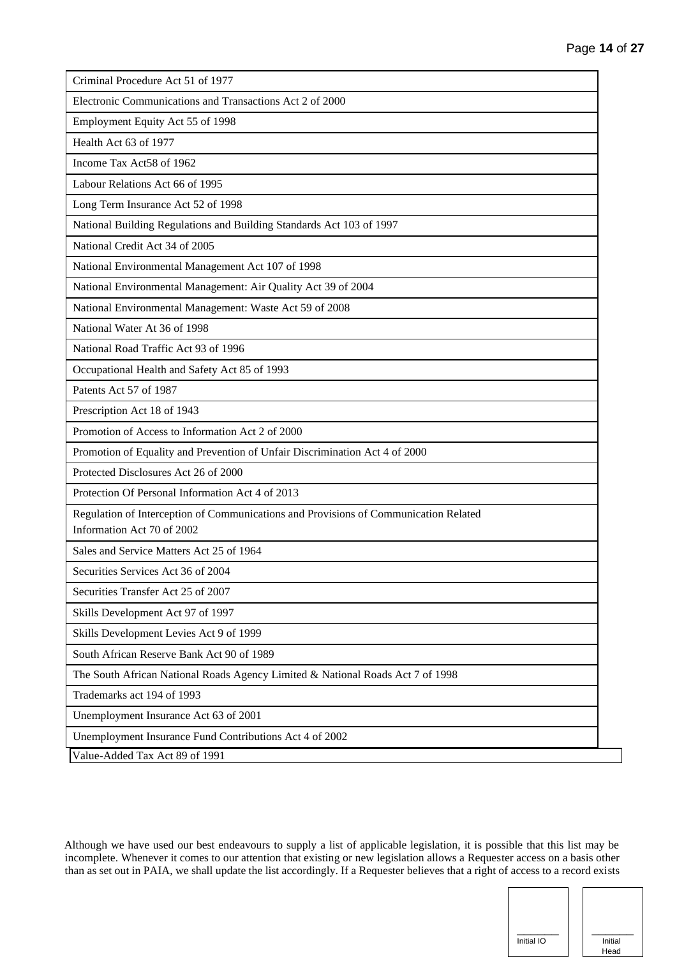Criminal Procedure Act 51 of 1977

Electronic Communications and Transactions Act 2 of 2000

Employment Equity Act 55 of 1998

Health Act 63 of 1977

Income Tax Act58 of 1962

Labour Relations Act 66 of 1995

Long Term Insurance Act 52 of 1998

National Building Regulations and Building Standards Act 103 of 1997

National Credit Act 34 of 2005

National Environmental Management Act 107 of 1998

National Environmental Management: Air Quality Act 39 of 2004

National Environmental Management: Waste Act 59 of 2008

National Water At 36 of 1998

National Road Traffic Act 93 of 1996

Occupational Health and Safety Act 85 of 1993

Patents Act 57 of 1987

Prescription Act 18 of 1943

Promotion of Access to Information Act 2 of 2000

Promotion of Equality and Prevention of Unfair Discrimination Act 4 of 2000

Protected Disclosures Act 26 of 2000

Protection Of Personal Information Act 4 of 2013

Regulation of Interception of Communications and Provisions of Communication Related

Information Act 70 of 2002

Sales and Service Matters Act 25 of 1964

Securities Services Act 36 of 2004

Securities Transfer Act 25 of 2007

Skills Development Act 97 of 1997

Skills Development Levies Act 9 of 1999

South African Reserve Bank Act 90 of 1989

The South African National Roads Agency Limited & National Roads Act 7 of 1998

Trademarks act 194 of 1993

Unemployment Insurance Act 63 of 2001

Unemployment Insurance Fund Contributions Act 4 of 2002

Value-Added Tax Act 89 of 1991

Although we have used our best endeavours to supply a list of applicable legislation, it is possible that this list may be incomplete. Whenever it comes to our attention that existing or new legislation allows a Requester access on a basis other than as set out in PAIA, we shall update the list accordingly. If a Requester believes that a right of access to a record exists

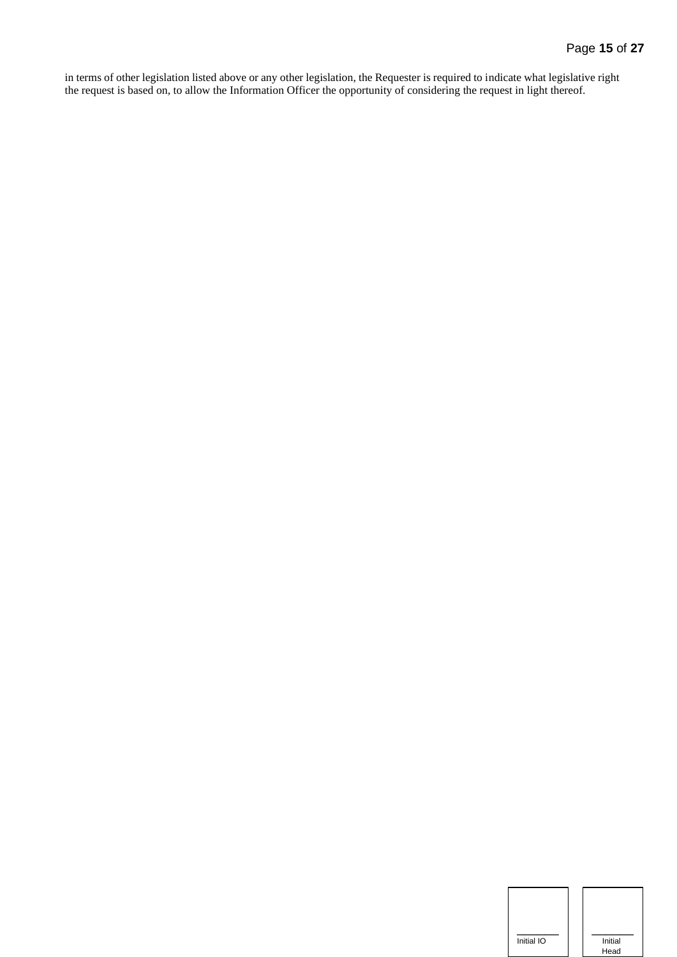in terms of other legislation listed above or any other legislation, the Requester is required to indicate what legislative right the request is based on, to allow the Information Officer the opportunity of considering the request in light thereof.

| Initial IO |  |  |
|------------|--|--|

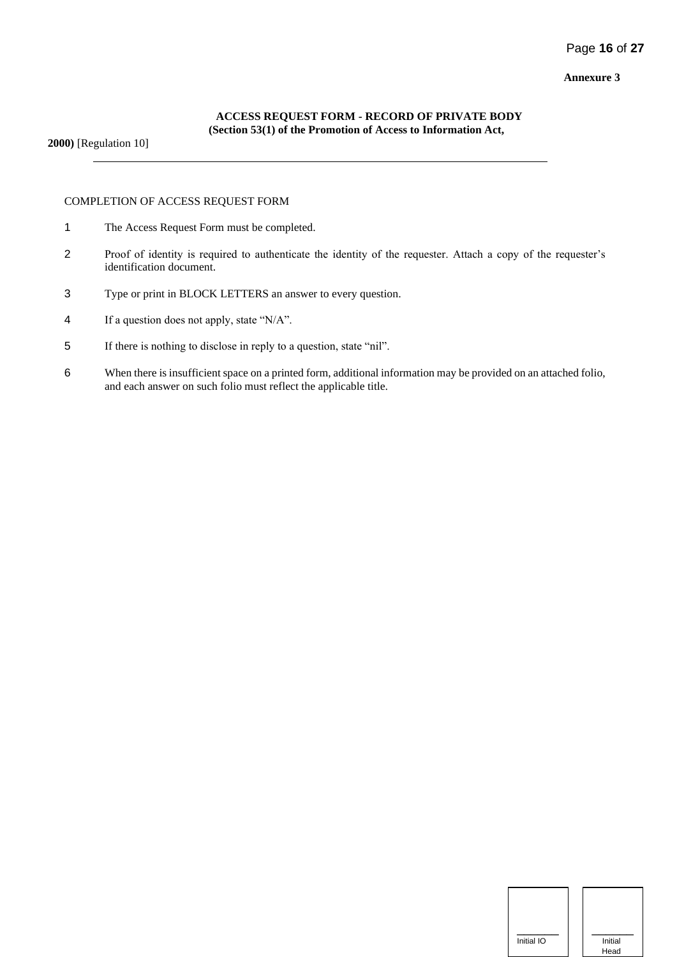### **ACCESS REQUEST FORM - RECORD OF PRIVATE BODY (Section 53(1) of the Promotion of Access to Information Act,**

**2000)** [Regulation 10]

# COMPLETION OF ACCESS REQUEST FORM

- 1 The Access Request Form must be completed.
- 2 Proof of identity is required to authenticate the identity of the requester. Attach a copy of the requester's identification document.
- 3 Type or print in BLOCK LETTERS an answer to every question.
- 4 If a question does not apply, state "N/A".
- 5 If there is nothing to disclose in reply to a question, state "nil".
- 6 When there is insufficient space on a printed form, additional information may be provided on an attached folio, and each answer on such folio must reflect the applicable title.

| Initial IO | Initial<br>Head |
|------------|-----------------|

Initial IO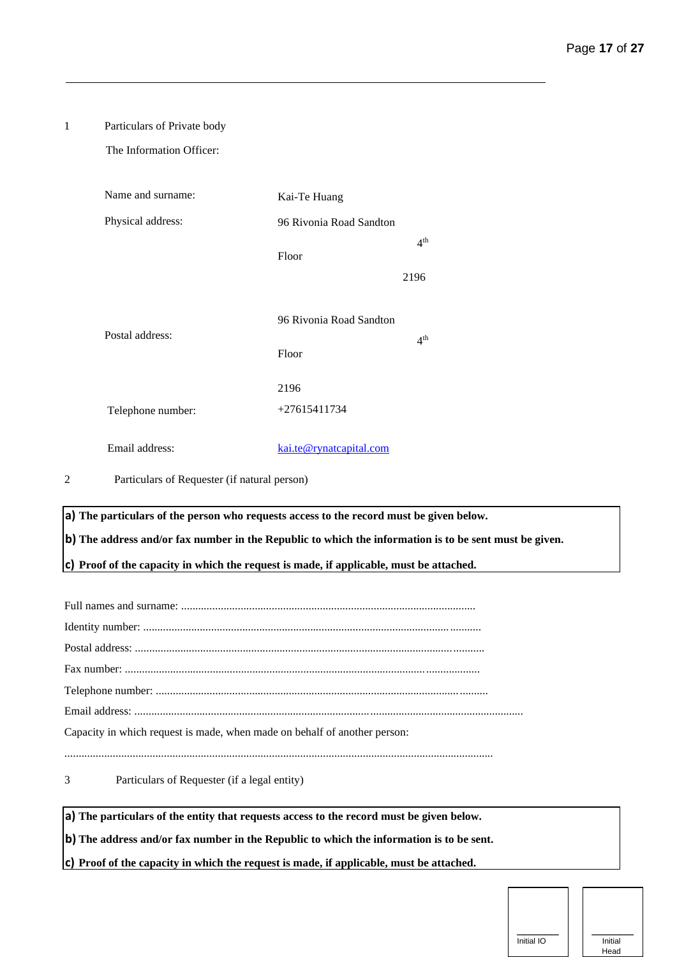1 Particulars of Private body

The Information Officer:

| Name and surname: | Kai-Te Huang                               |
|-------------------|--------------------------------------------|
| Physical address: | 96 Rivonia Road Sandton                    |
|                   | 4 <sup>th</sup><br>Floor                   |
|                   | 2196                                       |
| Postal address:   | 96 Rivonia Road Sandton<br>4 <sup>th</sup> |
|                   | Floor                                      |
|                   | 2196                                       |
| Telephone number: | $+27615411734$                             |
| Email address:    | kai.te@rynatcapital.com                    |

2 Particulars of Requester (if natural person)

**a) The particulars of the person who requests access to the record must be given below.** 

**b) The address and/or fax number in the Republic to which the information is to be sent must be given.** 

**c) Proof of the capacity in which the request is made, if applicable, must be attached.** 

Full names and surname: ........................................................................................................ Identity number: ....................................................................................................................... Postal address: ........................................................................................................................... Fax number: ............................................................................................................................. Telephone number: ..................................................................................................................... Email address: ......................................................................................................................................... Capacity in which request is made, when made on behalf of another person: .......................................................................................................................................................

3 Particulars of Requester (if a legal entity)

**a) The particulars of the entity that requests access to the record must be given below.** 

**b) The address and/or fax number in the Republic to which the information is to be sent.** 

**c) Proof of the capacity in which the request is made, if applicable, must be attached.** 

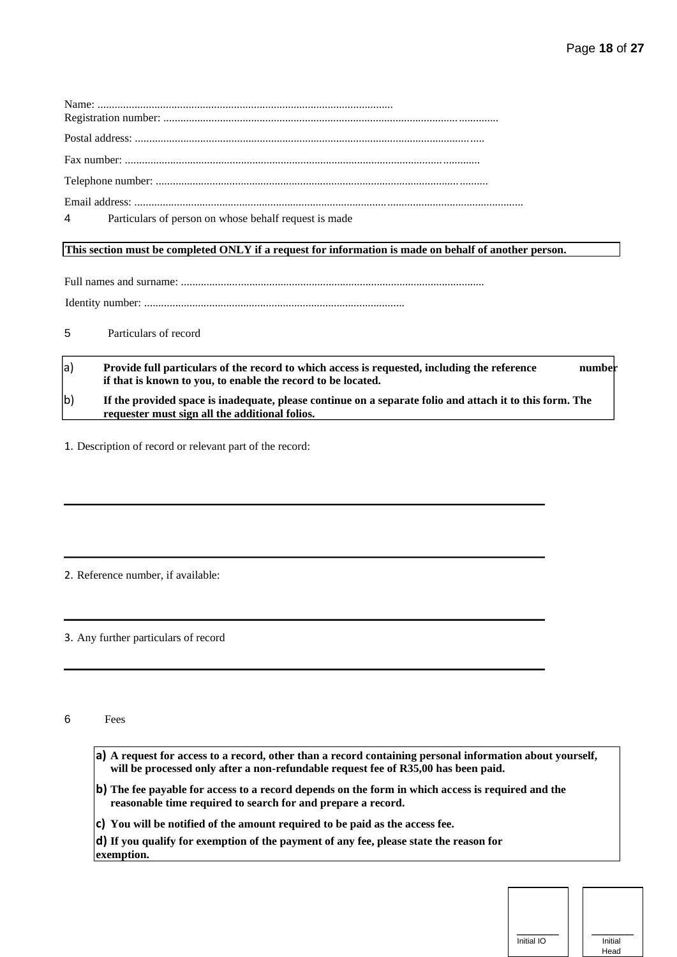| $4\overline{ }$ | Particulars of person on whose behalf request is made |
|-----------------|-------------------------------------------------------|

# **This section must be completed ONLY if a request for information is made on behalf of another person.**

Full names and surname: ...........................................................................................................

Identity number: ............................................................................................

# 5 Particulars of record

| a) | Provide full particulars of the record to which access is requested, including the reference<br>if that is known to you, to enable the record to be located. | number |
|----|--------------------------------------------------------------------------------------------------------------------------------------------------------------|--------|
| b) | If the provided space is inadequate, please continue on a separate folio and attach it to this form. The<br>requester must sign all the additional folios.   |        |

1. Description of record or relevant part of the record:

2. Reference number, if available:

3. Any further particulars of record

6 Fees

- **a) A request for access to a record, other than a record containing personal information about yourself, will be processed only after a non-refundable request fee of R35,00 has been paid.**
- **b) The fee payable for access to a record depends on the form in which access is required and the reasonable time required to search for and prepare a record.**
- **c) You will be notified of the amount required to be paid as the access fee.**

**d) If you qualify for exemption of the payment of any fee, please state the reason for exemption.** 

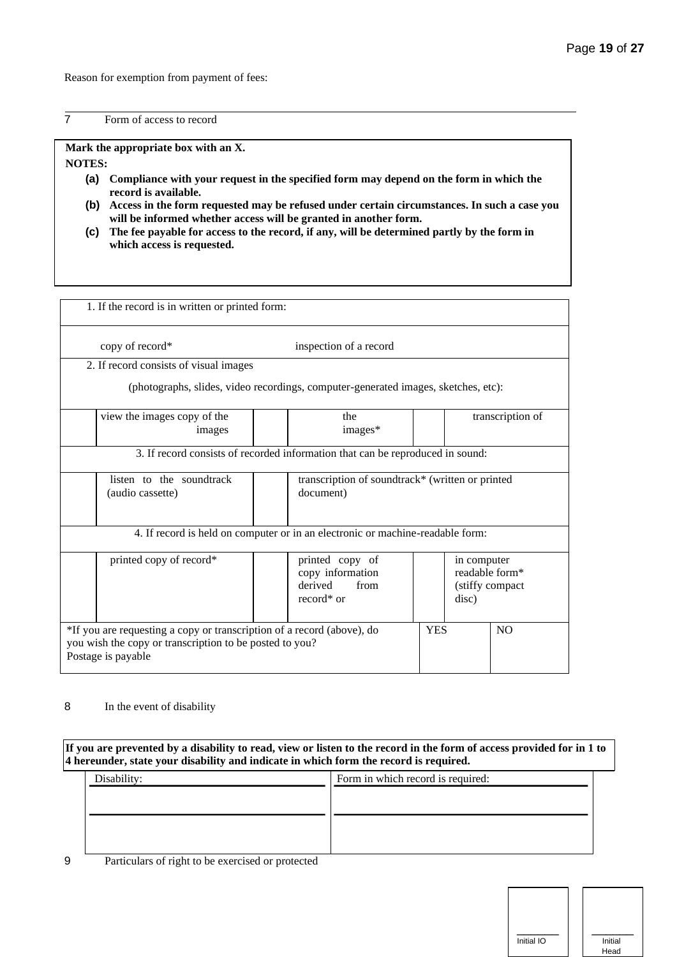Reason for exemption from payment of fees:

# 7 Form of access to record

**Mark the appropriate box with an X.** 

**NOTES:** 

- **(a) Compliance with your request in the specified form may depend on the form in which the record is available.**
- **(b) Access in the form requested may be refused under certain circumstances. In such a case you will be informed whether access will be granted in another form.**
- **(c) The fee payable for access to the record, if any, will be determined partly by the form in which access is requested.**

| 1. If the record is in written or printed form:                                                                                                         |                                                                                    |                                                           |  |                  |  |
|---------------------------------------------------------------------------------------------------------------------------------------------------------|------------------------------------------------------------------------------------|-----------------------------------------------------------|--|------------------|--|
| copy of record*                                                                                                                                         | inspection of a record                                                             |                                                           |  |                  |  |
| 2. If record consists of visual images                                                                                                                  |                                                                                    |                                                           |  |                  |  |
|                                                                                                                                                         | (photographs, slides, video recordings, computer-generated images, sketches, etc): |                                                           |  |                  |  |
| view the images copy of the<br>images                                                                                                                   | the<br>images*                                                                     |                                                           |  | transcription of |  |
|                                                                                                                                                         | 3. If record consists of recorded information that can be reproduced in sound:     |                                                           |  |                  |  |
| listen to the soundtrack<br>transcription of soundtrack* (written or printed<br>document)<br>(audio cassette)                                           |                                                                                    |                                                           |  |                  |  |
|                                                                                                                                                         | 4. If record is held on computer or in an electronic or machine-readable form:     |                                                           |  |                  |  |
| printed copy of record*                                                                                                                                 |                                                                                    | in computer<br>readable form*<br>(stiffy compact<br>disc) |  |                  |  |
| *If you are requesting a copy or transcription of a record (above), do<br>you wish the copy or transcription to be posted to you?<br>Postage is payable |                                                                                    | <b>YES</b>                                                |  | N <sub>O</sub>   |  |

# 8 In the event of disability

**If you are prevented by a disability to read, view or listen to the record in the form of access provided for in 1 to 4 hereunder, state your disability and indicate in which form the record is required.** 

| Disability: | Form in which record is required: |
|-------------|-----------------------------------|
|             |                                   |
|             |                                   |
|             |                                   |
|             |                                   |

9 Particulars of right to be exercised or protected

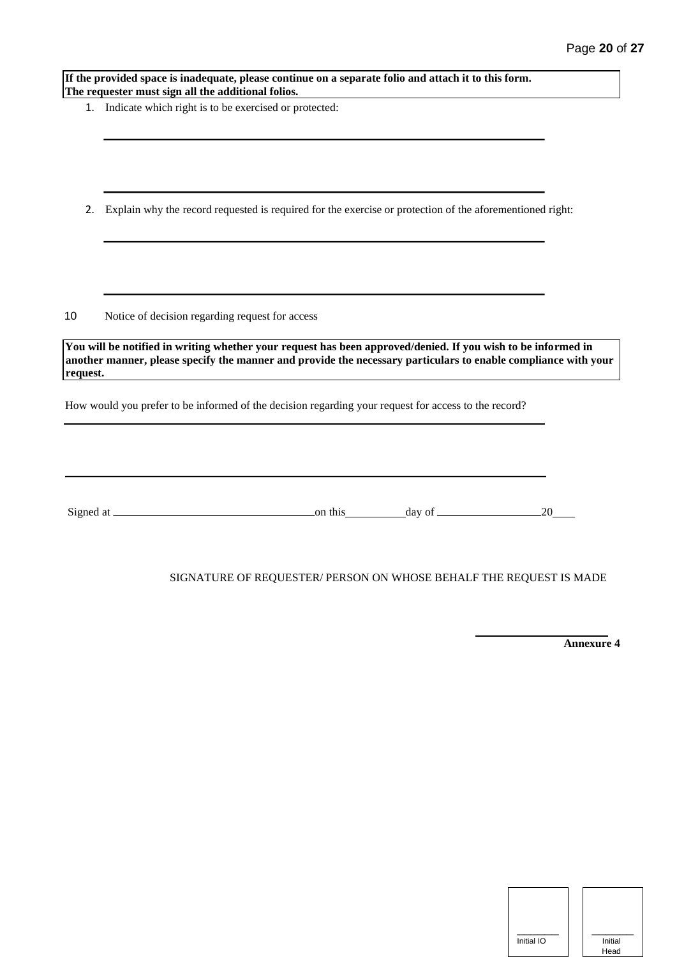**If the provided space is inadequate, please continue on a separate folio and attach it to this form. The requester must sign all the additional folios.** 

- 1. Indicate which right is to be exercised or protected:
- 2. Explain why the record requested is required for the exercise or protection of the aforementioned right:
- 10 Notice of decision regarding request for access

**You will be notified in writing whether your request has been approved/denied. If you wish to be informed in another manner, please specify the manner and provide the necessary particulars to enable compliance with your request.** 

How would you prefer to be informed of the decision regarding your request for access to the record?

# SIGNATURE OF REQUESTER/ PERSON ON WHOSE BEHALF THE REQUEST IS MADE

**Annexure 4** 

| Initial |
|---------|
| Head    |

 $\Gamma$ 

 $\overline{\phantom{a}}$ Initial IO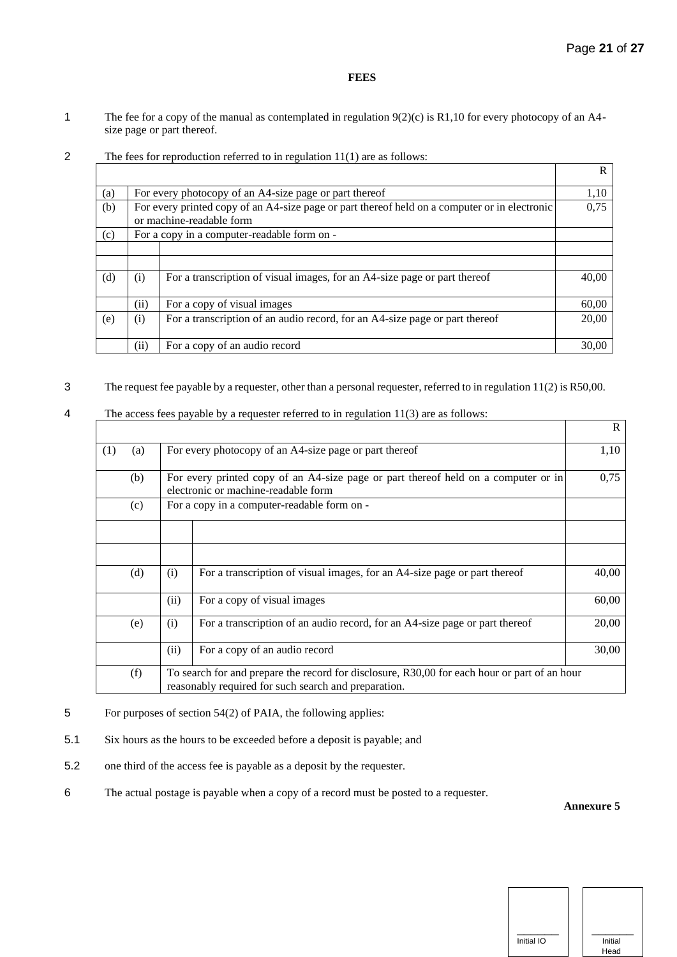R

0,75

### **FEES**

- 1 The fee for a copy of the manual as contemplated in regulation 9(2)(c) is R1,10 for every photocopy of an A4 size page or part thereof.
- 2 The fees for reproduction referred to in regulation 11(1) are as follows:

|     |                                                                                                                           |                                                                             | R     |
|-----|---------------------------------------------------------------------------------------------------------------------------|-----------------------------------------------------------------------------|-------|
| (a) |                                                                                                                           | For every photocopy of an A4-size page or part thereof                      | 1,10  |
| (b) | For every printed copy of an A4-size page or part thereof held on a computer or in electronic<br>or machine-readable form |                                                                             | 0,75  |
| (c) |                                                                                                                           | For a copy in a computer-readable form on -                                 |       |
| (d) | (i)                                                                                                                       | For a transcription of visual images, for an A4-size page or part thereof   | 40,00 |
|     | (ii)                                                                                                                      | For a copy of visual images                                                 | 60,00 |
| (e) | (i)                                                                                                                       | For a transcription of an audio record, for an A4-size page or part thereof | 20,00 |
|     | (ii)                                                                                                                      | For a copy of an audio record                                               | 30.00 |

### 3 The request fee payable by a requester, other than a personal requester, referred to in regulation 11(2) is R50,00.

(1) (a) For every photocopy of an A4-size page or part thereof  $1,10$ (b) For every printed copy of an A4-size page or part thereof held on a computer or in electronic or machine-readable form (c) For a copy in a computer-readable form on - (d)  $\begin{vmatrix} i \end{vmatrix}$  For a transcription of visual images, for an A4-size page or part thereof 40,00 (ii) For a copy of visual images 60,00 (e) (i) For a transcription of an audio record, for an A4-size page or part thereof 20,00 (ii) For a copy of an audio record 30,00

(f) To search for and prepare the record for disclosure, R30,00 for each hour or part of an hour

4 The access fees payable by a requester referred to in [regulation 11\(3](https://discover.sabinet.co.za/webx/access/netlaw/2_2000_promotion_of_access_to_information_1.htm#reg11)) are as follows:

- 5 For purposes of section 54(2) of PAIA, the following applies:
- 5.1 Six hours as the hours to be exceeded before a deposit is payable; and
- 5.2 one third of the access fee is payable as a deposit by the requester.
- 6 The actual postage is payable when a copy of a record must be posted to a requester.

reasonably required for such search and preparation.

# **Annexure 5**

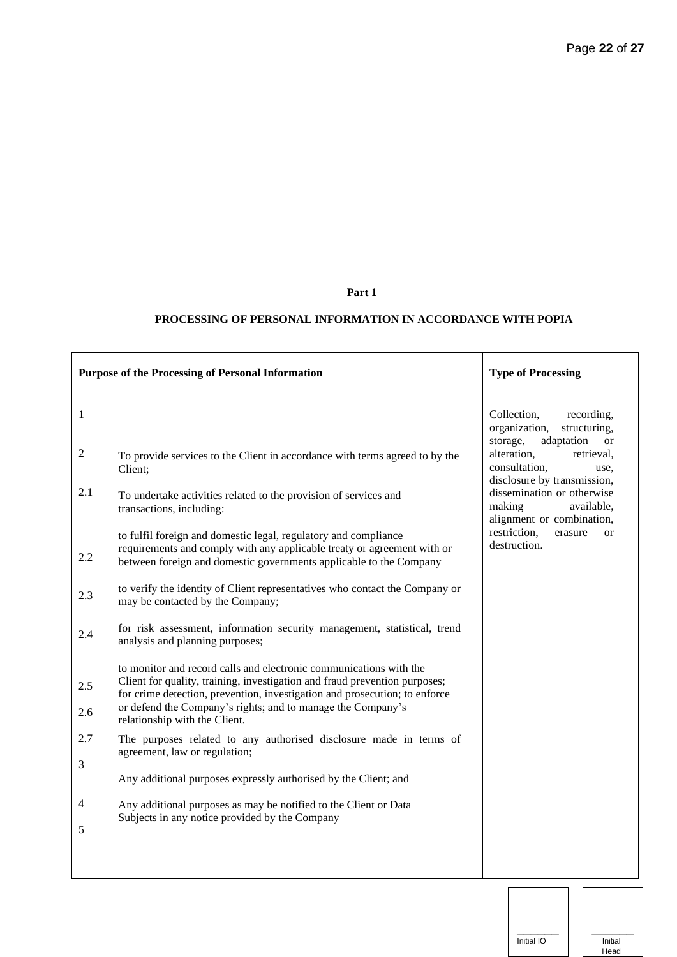# **PROCESSING OF PERSONAL INFORMATION IN ACCORDANCE WITH POPIA**

| <b>Purpose of the Processing of Personal Information</b> |                                                                                                                                                                                                                                                                                               | <b>Type of Processing</b>                                                                             |
|----------------------------------------------------------|-----------------------------------------------------------------------------------------------------------------------------------------------------------------------------------------------------------------------------------------------------------------------------------------------|-------------------------------------------------------------------------------------------------------|
| 1                                                        |                                                                                                                                                                                                                                                                                               | Collection,<br>recording,<br>organization,<br>structuring,<br>adaptation<br>storage,<br><sub>or</sub> |
| $\mathfrak{2}$                                           | To provide services to the Client in accordance with terms agreed to by the<br>Client;                                                                                                                                                                                                        | retrieval,<br>alteration,<br>consultation,<br>use.<br>disclosure by transmission,                     |
| 2.1                                                      | To undertake activities related to the provision of services and<br>transactions, including:                                                                                                                                                                                                  | dissemination or otherwise<br>making<br>available,<br>alignment or combination,                       |
| 2.2                                                      | to fulfil foreign and domestic legal, regulatory and compliance<br>requirements and comply with any applicable treaty or agreement with or<br>between foreign and domestic governments applicable to the Company                                                                              | restriction,<br>erasure<br><b>or</b><br>destruction.                                                  |
| 2.3                                                      | to verify the identity of Client representatives who contact the Company or<br>may be contacted by the Company;                                                                                                                                                                               |                                                                                                       |
| 2.4                                                      | for risk assessment, information security management, statistical, trend<br>analysis and planning purposes;                                                                                                                                                                                   |                                                                                                       |
| 2.5<br>2.6                                               | to monitor and record calls and electronic communications with the<br>Client for quality, training, investigation and fraud prevention purposes;<br>for crime detection, prevention, investigation and prosecution; to enforce<br>or defend the Company's rights; and to manage the Company's |                                                                                                       |
|                                                          | relationship with the Client.                                                                                                                                                                                                                                                                 |                                                                                                       |
| 2.7                                                      | The purposes related to any authorised disclosure made in terms of<br>agreement, law or regulation;                                                                                                                                                                                           |                                                                                                       |
| 3                                                        | Any additional purposes expressly authorised by the Client; and                                                                                                                                                                                                                               |                                                                                                       |
| 4                                                        | Any additional purposes as may be notified to the Client or Data                                                                                                                                                                                                                              |                                                                                                       |
| 5                                                        | Subjects in any notice provided by the Company                                                                                                                                                                                                                                                |                                                                                                       |
|                                                          |                                                                                                                                                                                                                                                                                               |                                                                                                       |

Initial IO

 $\overline{\phantom{a}}$ 

Initial Head

 $\overline{\phantom{a}}$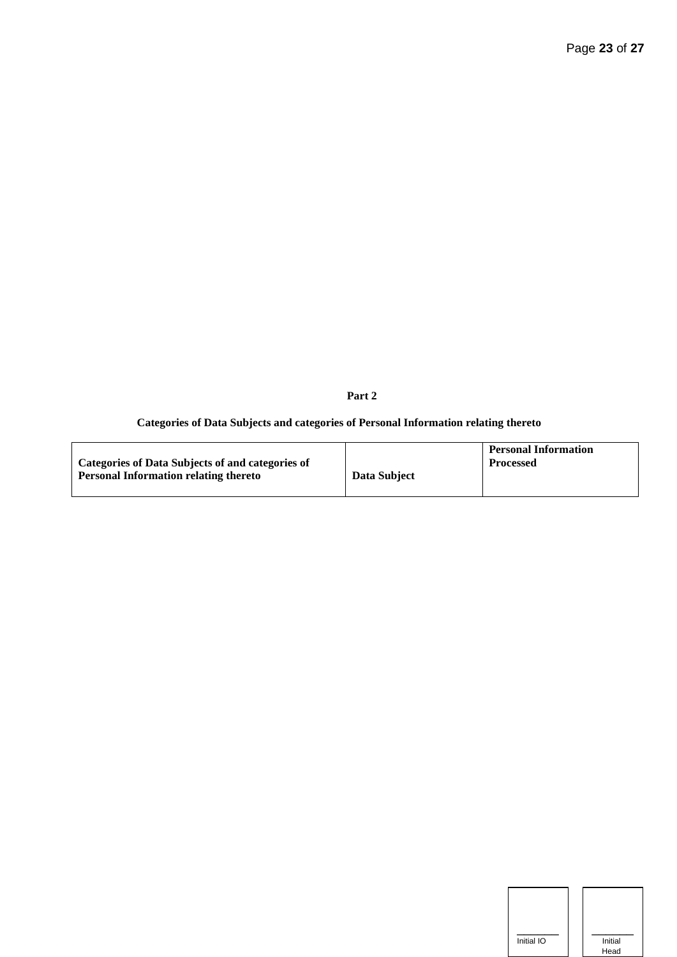# **Categories of Data Subjects and categories of Personal Information relating thereto**

| <b>Personal Information</b><br><b>Processed</b> |
|-------------------------------------------------|
| Data Subject                                    |
|                                                 |

| Initial IO |  |
|------------|--|

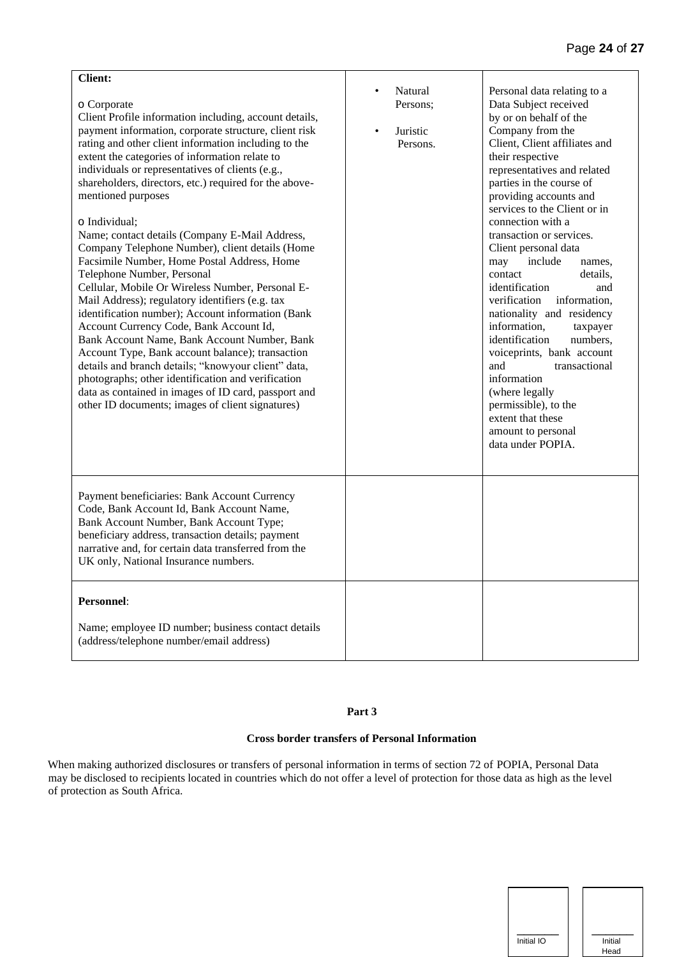| <b>Client:</b><br>o Corporate<br>Client Profile information including, account details,<br>payment information, corporate structure, client risk<br>rating and other client information including to the<br>extent the categories of information relate to<br>individuals or representatives of clients (e.g.,<br>shareholders, directors, etc.) required for the above-<br>mentioned purposes<br>o Individual;<br>Name; contact details (Company E-Mail Address,<br>Company Telephone Number), client details (Home<br>Facsimile Number, Home Postal Address, Home<br>Telephone Number, Personal<br>Cellular, Mobile Or Wireless Number, Personal E-<br>Mail Address); regulatory identifiers (e.g. tax<br>identification number); Account information (Bank<br>Account Currency Code, Bank Account Id,<br>Bank Account Name, Bank Account Number, Bank<br>Account Type, Bank account balance); transaction<br>details and branch details; "knowyour client" data,<br>photographs; other identification and verification<br>data as contained in images of ID card, passport and<br>other ID documents; images of client signatures) | Natural<br>$\bullet$<br>Persons:<br>Juristic<br>$\bullet$<br>Persons. | Personal data relating to a<br>Data Subject received<br>by or on behalf of the<br>Company from the<br>Client, Client affiliates and<br>their respective<br>representatives and related<br>parties in the course of<br>providing accounts and<br>services to the Client or in<br>connection with a<br>transaction or services.<br>Client personal data<br>include<br>may<br>names.<br>contact<br>details.<br>identification<br>and<br>verification<br>information,<br>nationality and residency<br>information,<br>taxpayer<br>identification<br>numbers.<br>voiceprints, bank account<br>and<br>transactional<br>information<br>(where legally<br>permissible), to the<br>extent that these<br>amount to personal<br>data under POPIA. |
|---------------------------------------------------------------------------------------------------------------------------------------------------------------------------------------------------------------------------------------------------------------------------------------------------------------------------------------------------------------------------------------------------------------------------------------------------------------------------------------------------------------------------------------------------------------------------------------------------------------------------------------------------------------------------------------------------------------------------------------------------------------------------------------------------------------------------------------------------------------------------------------------------------------------------------------------------------------------------------------------------------------------------------------------------------------------------------------------------------------------------------------|-----------------------------------------------------------------------|----------------------------------------------------------------------------------------------------------------------------------------------------------------------------------------------------------------------------------------------------------------------------------------------------------------------------------------------------------------------------------------------------------------------------------------------------------------------------------------------------------------------------------------------------------------------------------------------------------------------------------------------------------------------------------------------------------------------------------------|
| Payment beneficiaries: Bank Account Currency<br>Code, Bank Account Id, Bank Account Name,<br>Bank Account Number, Bank Account Type;<br>beneficiary address, transaction details; payment<br>narrative and, for certain data transferred from the<br>UK only, National Insurance numbers.                                                                                                                                                                                                                                                                                                                                                                                                                                                                                                                                                                                                                                                                                                                                                                                                                                             |                                                                       |                                                                                                                                                                                                                                                                                                                                                                                                                                                                                                                                                                                                                                                                                                                                        |
| Personnel:<br>Name; employee ID number; business contact details<br>(address/telephone number/email address)                                                                                                                                                                                                                                                                                                                                                                                                                                                                                                                                                                                                                                                                                                                                                                                                                                                                                                                                                                                                                          |                                                                       |                                                                                                                                                                                                                                                                                                                                                                                                                                                                                                                                                                                                                                                                                                                                        |

### **Cross border transfers of Personal Information**

When making authorized disclosures or transfers of personal information in terms of section 72 of POPIA, Personal Data may be disclosed to recipients located in countries which do not offer a level of protection for those data as high as the level of protection as South Africa.

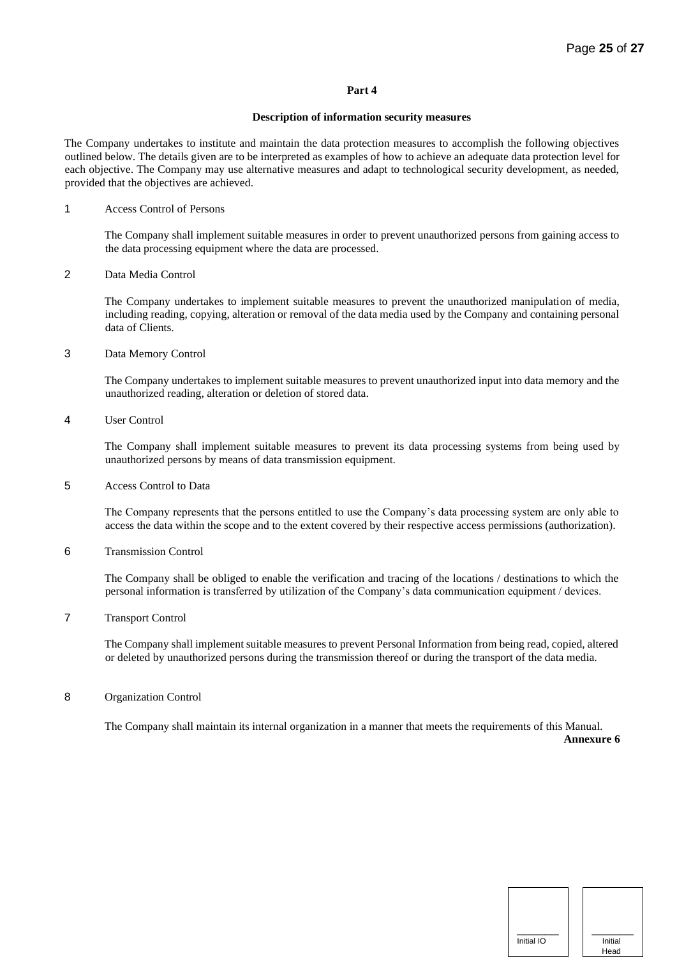#### **Description of information security measures**

The Company undertakes to institute and maintain the data protection measures to accomplish the following objectives outlined below. The details given are to be interpreted as examples of how to achieve an adequate data protection level for each objective. The Company may use alternative measures and adapt to technological security development, as needed, provided that the objectives are achieved.

### 1 Access Control of Persons

The Company shall implement suitable measures in order to prevent unauthorized persons from gaining access to the data processing equipment where the data are processed.

### 2 Data Media Control

The Company undertakes to implement suitable measures to prevent the unauthorized manipulation of media, including reading, copying, alteration or removal of the data media used by the Company and containing personal data of Clients.

3 Data Memory Control

The Company undertakes to implement suitable measures to prevent unauthorized input into data memory and the unauthorized reading, alteration or deletion of stored data.

4 User Control

The Company shall implement suitable measures to prevent its data processing systems from being used by unauthorized persons by means of data transmission equipment.

### 5 Access Control to Data

The Company represents that the persons entitled to use the Company's data processing system are only able to access the data within the scope and to the extent covered by their respective access permissions (authorization).

6 Transmission Control

The Company shall be obliged to enable the verification and tracing of the locations / destinations to which the personal information is transferred by utilization of the Company's data communication equipment / devices.

7 Transport Control

The Company shall implement suitable measures to prevent Personal Information from being read, copied, altered or deleted by unauthorized persons during the transmission thereof or during the transport of the data media.

8 Organization Control

The Company shall maintain its internal organization in a manner that meets the requirements of this Manual.

**Annexure 6** 

| Initial IO | Initial<br>Head |
|------------|-----------------|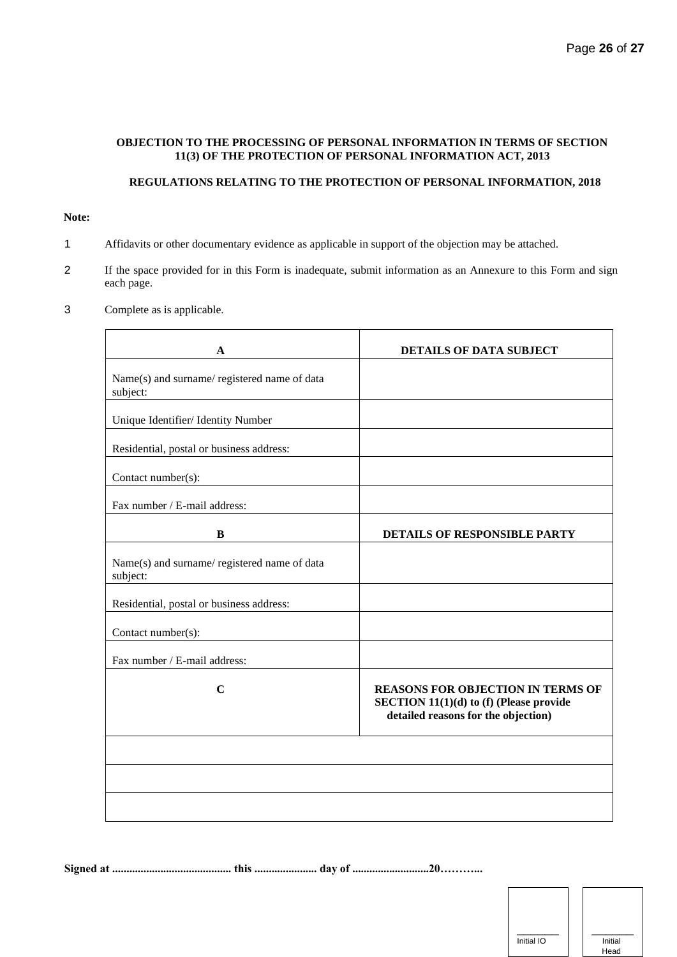### **OBJECTION TO THE PROCESSING OF PERSONAL INFORMATION IN TERMS OF SECTION 11(3) OF THE PROTECTION OF PERSONAL INFORMATION ACT, 2013**

# **REGULATIONS RELATING TO THE PROTECTION OF PERSONAL INFORMATION, 2018**

# **Note:**

- 1 Affidavits or other documentary evidence as applicable in support of the objection may be attached.
- 2 If the space provided for in this Form is inadequate, submit information as an Annexure to this Form and sign each page.
- 3 Complete as is applicable.

| A                                                        | <b>DETAILS OF DATA SUBJECT</b>                                                                                             |
|----------------------------------------------------------|----------------------------------------------------------------------------------------------------------------------------|
| Name(s) and surname/ registered name of data<br>subject: |                                                                                                                            |
| Unique Identifier/ Identity Number                       |                                                                                                                            |
| Residential, postal or business address:                 |                                                                                                                            |
| Contact number(s):                                       |                                                                                                                            |
| Fax number / E-mail address:                             |                                                                                                                            |
| B                                                        | <b>DETAILS OF RESPONSIBLE PARTY</b>                                                                                        |
| Name(s) and surname/ registered name of data<br>subject: |                                                                                                                            |
| Residential, postal or business address:                 |                                                                                                                            |
| Contact number(s):                                       |                                                                                                                            |
| Fax number / E-mail address:                             |                                                                                                                            |
| $\mathbf C$                                              | <b>REASONS FOR OBJECTION IN TERMS OF</b><br>SECTION 11(1)(d) to (f) (Please provide<br>detailed reasons for the objection) |
|                                                          |                                                                                                                            |
|                                                          |                                                                                                                            |
|                                                          |                                                                                                                            |

**Signed at .......................................... this ...................... day of ...........................20………...** 



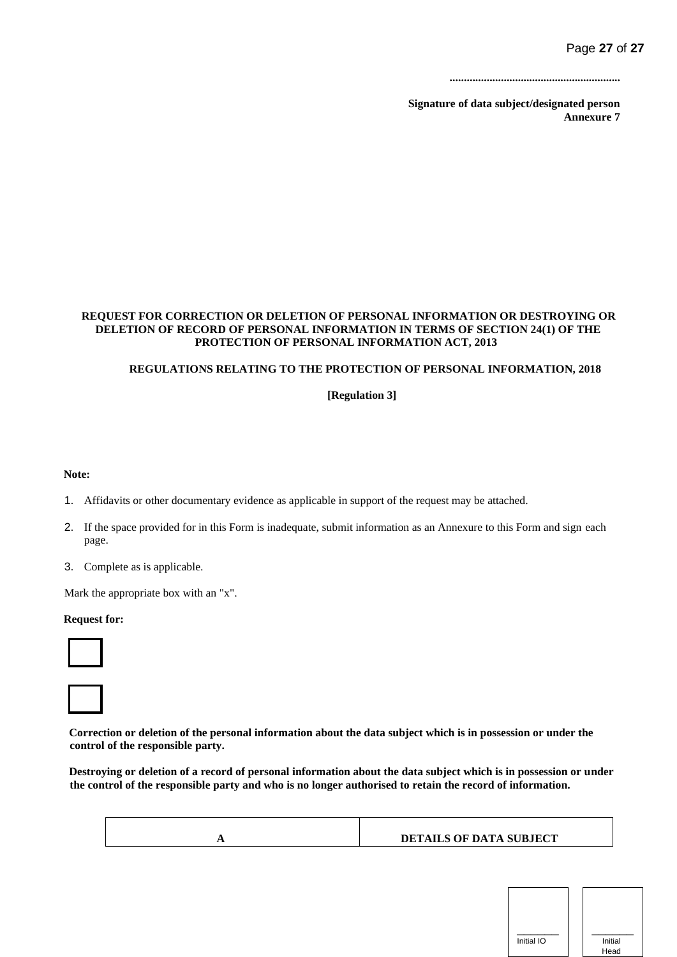**............................................................** 

**Signature of data subject/designated person Annexure 7** 

### **REQUEST FOR CORRECTION OR DELETION OF PERSONAL INFORMATION OR DESTROYING OR DELETION OF RECORD OF PERSONAL INFORMATION IN TERMS OF SECTION 24(1) OF THE PROTECTION OF PERSONAL INFORMATION ACT, 2013**

### **REGULATIONS RELATING TO THE PROTECTION OF PERSONAL INFORMATION, 2018**

**[Regulation 3]** 

### **Note:**

- 1. Affidavits or other documentary evidence as applicable in support of the request may be attached.
- 2. If the space provided for in this Form is inadequate, submit information as an Annexure to this Form and sign each page.
- 3. Complete as is applicable.

Mark the appropriate box with an "x".

#### **Request for:**





**Correction or deletion of the personal information about the data subject which is in possession or under the control of the responsible party.** 

**Destroying or deletion of a record of personal information about the data subject which is in possession or under the control of the responsible party and who is no longer authorised to retain the record of information.** 



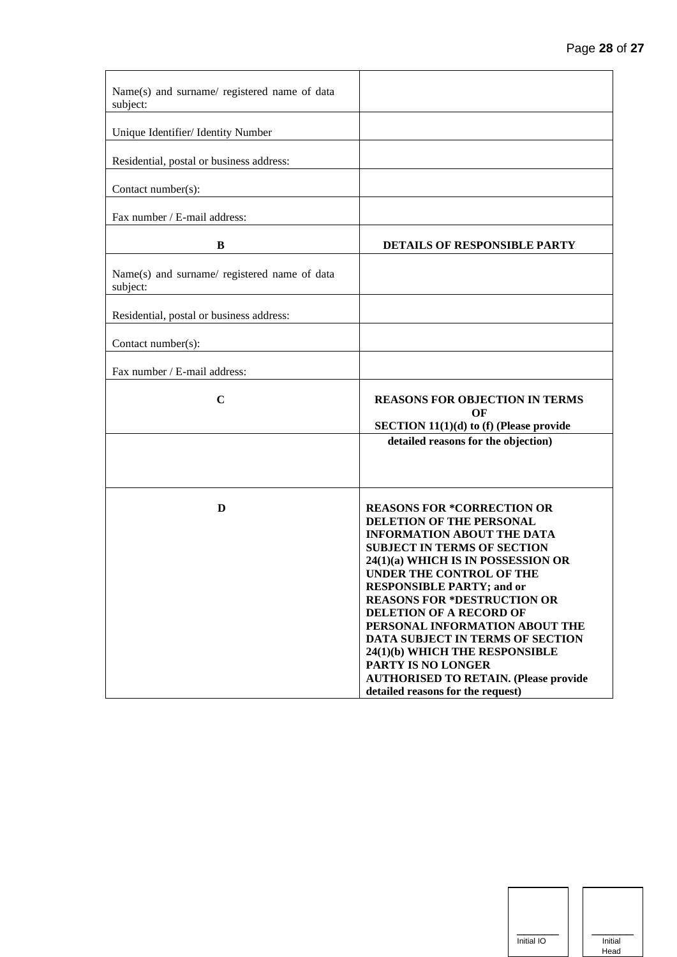| Name(s) and surname/ registered name of data<br>subject: |                                                                                                                                                                                                                                                                                                                                                                                                                                                                                                                                                         |
|----------------------------------------------------------|---------------------------------------------------------------------------------------------------------------------------------------------------------------------------------------------------------------------------------------------------------------------------------------------------------------------------------------------------------------------------------------------------------------------------------------------------------------------------------------------------------------------------------------------------------|
| Unique Identifier/ Identity Number                       |                                                                                                                                                                                                                                                                                                                                                                                                                                                                                                                                                         |
| Residential, postal or business address:                 |                                                                                                                                                                                                                                                                                                                                                                                                                                                                                                                                                         |
| Contact number(s):                                       |                                                                                                                                                                                                                                                                                                                                                                                                                                                                                                                                                         |
| Fax number / E-mail address:                             |                                                                                                                                                                                                                                                                                                                                                                                                                                                                                                                                                         |
| B                                                        | <b>DETAILS OF RESPONSIBLE PARTY</b>                                                                                                                                                                                                                                                                                                                                                                                                                                                                                                                     |
| Name(s) and surname/ registered name of data<br>subject: |                                                                                                                                                                                                                                                                                                                                                                                                                                                                                                                                                         |
| Residential, postal or business address:                 |                                                                                                                                                                                                                                                                                                                                                                                                                                                                                                                                                         |
| Contact number(s):                                       |                                                                                                                                                                                                                                                                                                                                                                                                                                                                                                                                                         |
| Fax number / E-mail address:                             |                                                                                                                                                                                                                                                                                                                                                                                                                                                                                                                                                         |
| $\mathbf C$                                              | <b>REASONS FOR OBJECTION IN TERMS</b><br>OF                                                                                                                                                                                                                                                                                                                                                                                                                                                                                                             |
|                                                          | <b>SECTION 11(1)(d) to (f) (Please provide</b><br>detailed reasons for the objection)                                                                                                                                                                                                                                                                                                                                                                                                                                                                   |
|                                                          |                                                                                                                                                                                                                                                                                                                                                                                                                                                                                                                                                         |
| D                                                        | <b>REASONS FOR *CORRECTION OR</b><br>DELETION OF THE PERSONAL<br><b>INFORMATION ABOUT THE DATA</b><br><b>SUBJECT IN TERMS OF SECTION</b><br>24(1)(a) WHICH IS IN POSSESSION OR<br><b>UNDER THE CONTROL OF THE</b><br><b>RESPONSIBLE PARTY; and or</b><br><b>REASONS FOR *DESTRUCTION OR</b><br><b>DELETION OF A RECORD OF</b><br>PERSONAL INFORMATION ABOUT THE<br><b>DATA SUBJECT IN TERMS OF SECTION</b><br>24(1)(b) WHICH THE RESPONSIBLE<br>PARTY IS NO LONGER<br><b>AUTHORISED TO RETAIN. (Please provide</b><br>detailed reasons for the request) |

| Initial IO |  |
|------------|--|



 $\frac{1}{\ln}$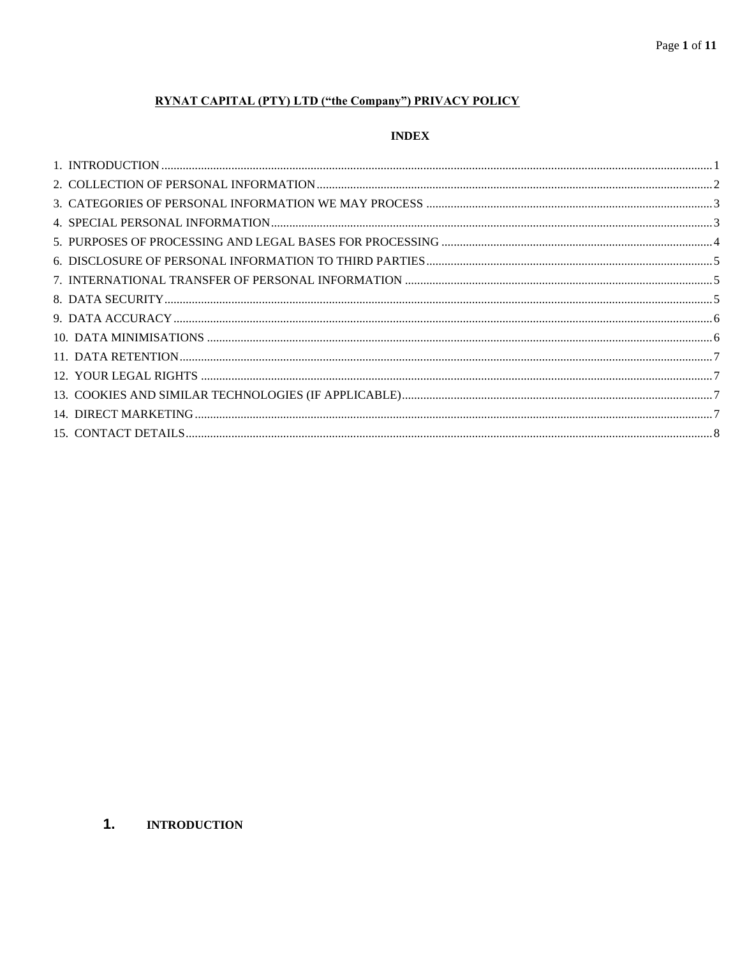# **RYNAT CAPITAL (PTY) LTD ("the Company") PRIVACY POLICY**

# **INDEX**

#### <span id="page-28-0"></span> $1.$ **INTRODUCTION**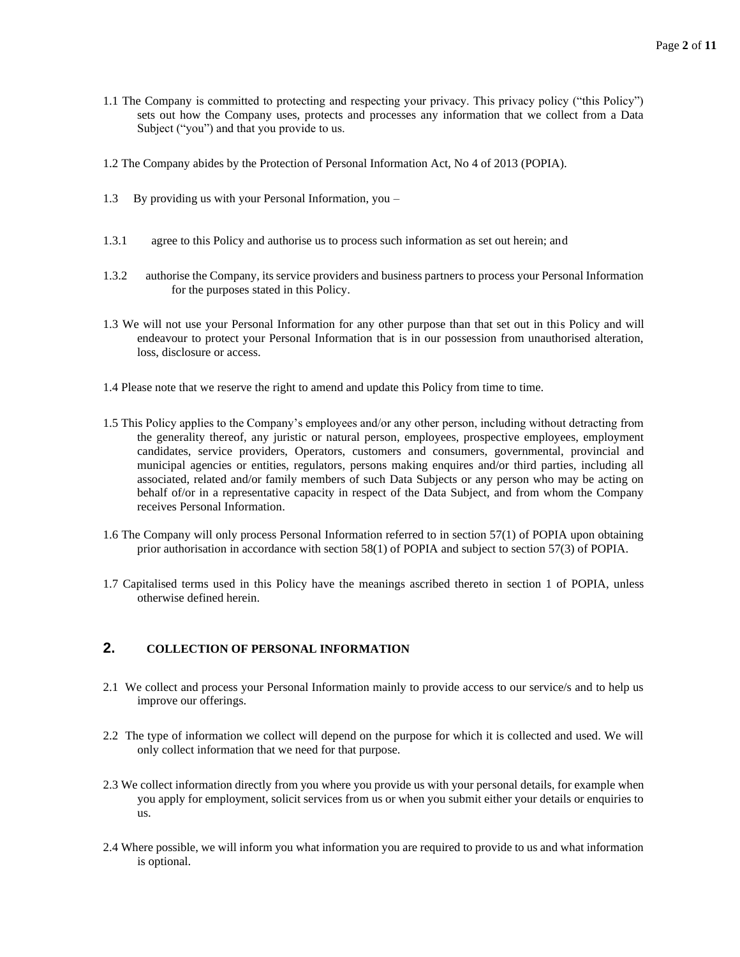- 1.1 The Company is committed to protecting and respecting your privacy. This privacy policy ("this Policy") sets out how the Company uses, protects and processes any information that we collect from a Data Subject ("you") and that you provide to us.
- 1.2 The Company abides by the Protection of Personal Information Act, No 4 of 2013 (POPIA).
- 1.3 By providing us with your Personal Information, you –
- 1.3.1 agree to this Policy and authorise us to process such information as set out herein; and
- 1.3.2 authorise the Company, its service providers and business partners to process your Personal Information for the purposes stated in this Policy.
- 1.3 We will not use your Personal Information for any other purpose than that set out in this Policy and will endeavour to protect your Personal Information that is in our possession from unauthorised alteration, loss, disclosure or access.
- 1.4 Please note that we reserve the right to amend and update this Policy from time to time.
- 1.5 This Policy applies to the Company's employees and/or any other person, including without detracting from the generality thereof, any juristic or natural person, employees, prospective employees, employment candidates, service providers, Operators, customers and consumers, governmental, provincial and municipal agencies or entities, regulators, persons making enquires and/or third parties, including all associated, related and/or family members of such Data Subjects or any person who may be acting on behalf of/or in a representative capacity in respect of the Data Subject, and from whom the Company receives Personal Information.
- 1.6 The Company will only process Personal Information referred to in section 57(1) of POPIA upon obtaining prior authorisation in accordance with section 58(1) of POPIA and subject to section 57(3) of POPIA.
- 1.7 Capitalised terms used in this Policy have the meanings ascribed thereto in section 1 of POPIA, unless otherwise defined herein.

# <span id="page-29-0"></span>**2. COLLECTION OF PERSONAL INFORMATION**

- 2.1 We collect and process your Personal Information mainly to provide access to our service/s and to help us improve our offerings.
- 2.2 The type of information we collect will depend on the purpose for which it is collected and used. We will only collect information that we need for that purpose.
- 2.3 We collect information directly from you where you provide us with your personal details, for example when you apply for employment, solicit services from us or when you submit either your details or enquiries to us.
- 2.4 Where possible, we will inform you what information you are required to provide to us and what information is optional.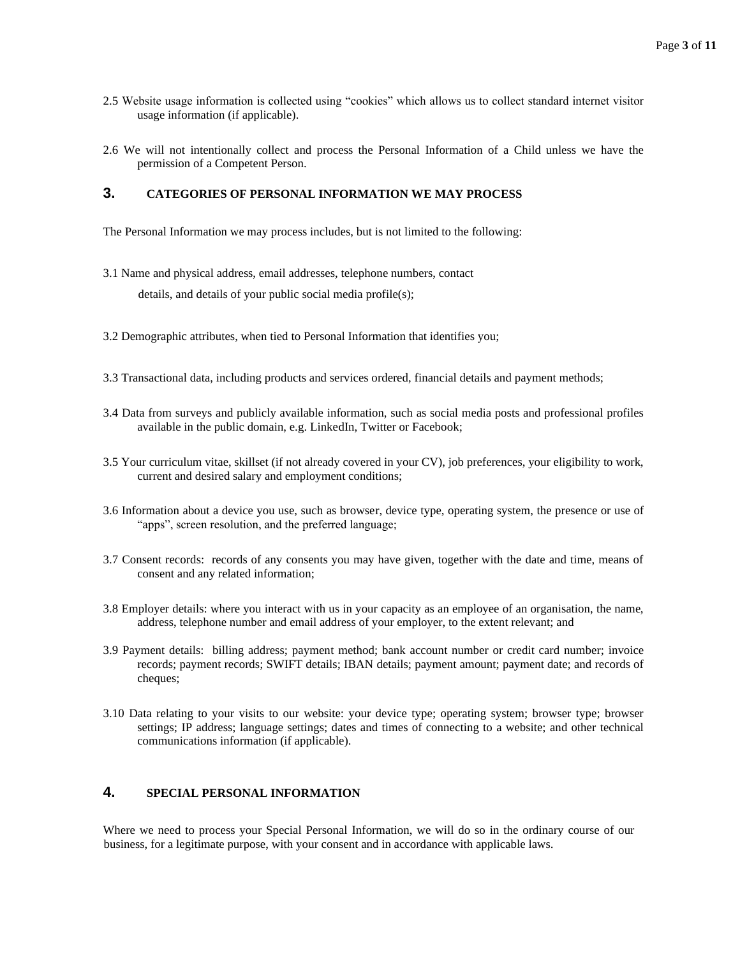- 2.5 Website usage information is collected using "cookies" which allows us to collect standard internet visitor usage information (if applicable).
- 2.6 We will not intentionally collect and process the Personal Information of a Child unless we have the permission of a Competent Person.

# <span id="page-30-0"></span>**3. CATEGORIES OF PERSONAL INFORMATION WE MAY PROCESS**

The Personal Information we may process includes, but is not limited to the following:

- 3.1 Name and physical address, email addresses, telephone numbers, contact details, and details of your public social media profile(s);
- 3.2 Demographic attributes, when tied to Personal Information that identifies you;
- 3.3 Transactional data, including products and services ordered, financial details and payment methods;
- 3.4 Data from surveys and publicly available information, such as social media posts and professional profiles available in the public domain, e.g. LinkedIn, Twitter or Facebook;
- 3.5 Your curriculum vitae, skillset (if not already covered in your CV), job preferences, your eligibility to work, current and desired salary and employment conditions;
- 3.6 Information about a device you use, such as browser, device type, operating system, the presence or use of "apps", screen resolution, and the preferred language;
- 3.7 Consent records: records of any consents you may have given, together with the date and time, means of consent and any related information;
- 3.8 Employer details: where you interact with us in your capacity as an employee of an organisation, the name, address, telephone number and email address of your employer, to the extent relevant; and
- 3.9 Payment details: billing address; payment method; bank account number or credit card number; invoice records; payment records; SWIFT details; IBAN details; payment amount; payment date; and records of cheques;
- 3.10 Data relating to your visits to our website: your device type; operating system; browser type; browser settings; IP address; language settings; dates and times of connecting to a website; and other technical communications information (if applicable).

# <span id="page-30-1"></span>**4. SPECIAL PERSONAL INFORMATION**

Where we need to process your Special Personal Information, we will do so in the ordinary course of our business, for a legitimate purpose, with your consent and in accordance with applicable laws.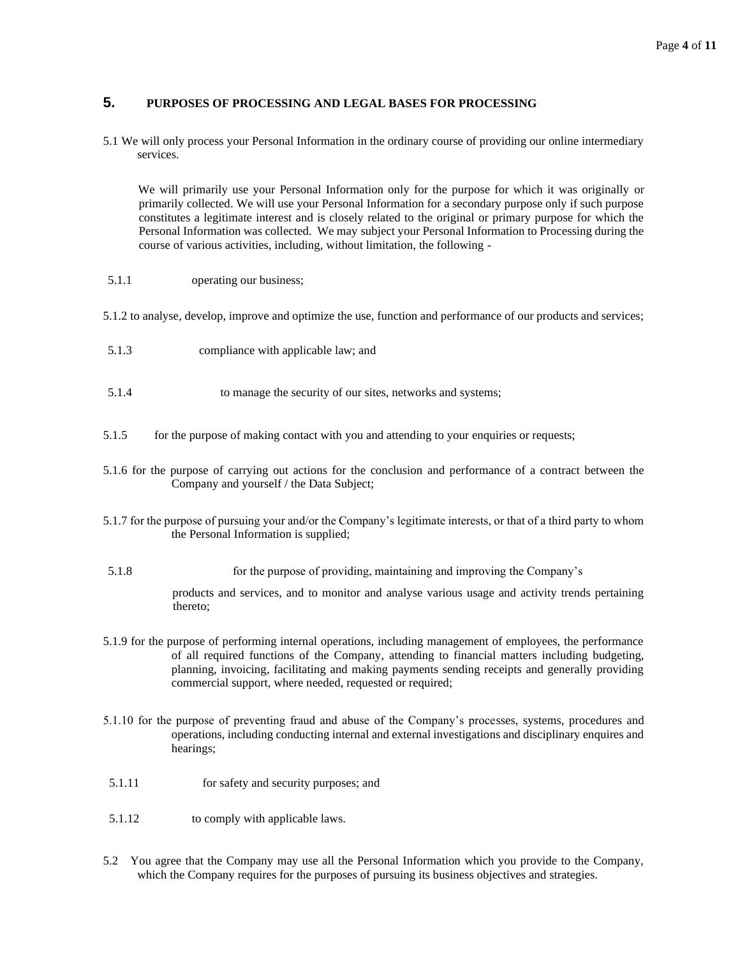# <span id="page-31-0"></span>**5. PURPOSES OF PROCESSING AND LEGAL BASES FOR PROCESSING**

5.1 We will only process your Personal Information in the ordinary course of providing our online intermediary services.

We will primarily use your Personal Information only for the purpose for which it was originally or primarily collected. We will use your Personal Information for a secondary purpose only if such purpose constitutes a legitimate interest and is closely related to the original or primary purpose for which the Personal Information was collected. We may subject your Personal Information to Processing during the course of various activities, including, without limitation, the following -

- 5.1.1 operating our business;
- 5.1.2 to analyse, develop, improve and optimize the use, function and performance of our products and services;
- 5.1.3 compliance with applicable law; and
- 5.1.4 to manage the security of our sites, networks and systems;
- 5.1.5 for the purpose of making contact with you and attending to your enquiries or requests;
- 5.1.6 for the purpose of carrying out actions for the conclusion and performance of a contract between the Company and yourself / the Data Subject;
- 5.1.7 for the purpose of pursuing your and/or the Company's legitimate interests, or that of a third party to whom the Personal Information is supplied;
- 5.1.8 for the purpose of providing, maintaining and improving the Company's products and services, and to monitor and analyse various usage and activity trends pertaining thereto;
- 5.1.9 for the purpose of performing internal operations, including management of employees, the performance of all required functions of the Company, attending to financial matters including budgeting, planning, invoicing, facilitating and making payments sending receipts and generally providing commercial support, where needed, requested or required;
- 5.1.10 for the purpose of preventing fraud and abuse of the Company's processes, systems, procedures and operations, including conducting internal and external investigations and disciplinary enquires and hearings;
- 5.1.11 for safety and security purposes; and
- 5.1.12 to comply with applicable laws.
- 5.2 You agree that the Company may use all the Personal Information which you provide to the Company, which the Company requires for the purposes of pursuing its business objectives and strategies.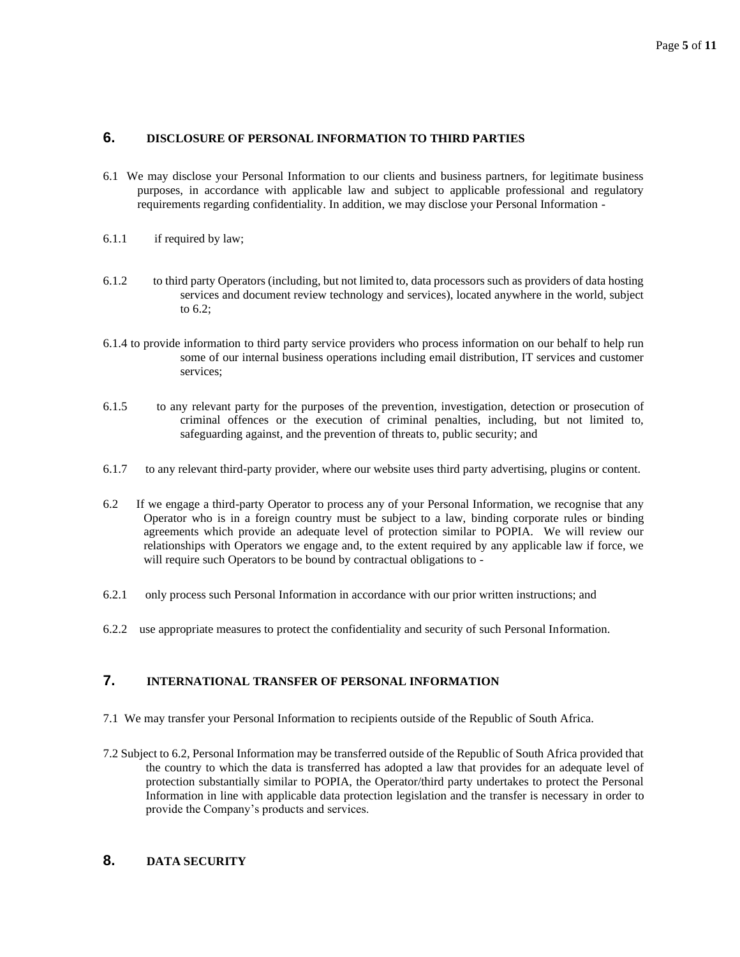### <span id="page-32-0"></span>**6. DISCLOSURE OF PERSONAL INFORMATION TO THIRD PARTIES**

- 6.1 We may disclose your Personal Information to our clients and business partners, for legitimate business purposes, in accordance with applicable law and subject to applicable professional and regulatory requirements regarding confidentiality. In addition, we may disclose your Personal Information -
- 6.1.1 if required by law;
- 6.1.2 to third party Operators (including, but not limited to, data processors such as providers of data hosting services and document review technology and services), located anywhere in the world, subject to 6.2;
- 6.1.4 to provide information to third party service providers who process information on our behalf to help run some of our internal business operations including email distribution, IT services and customer services;
- 6.1.5 to any relevant party for the purposes of the prevention, investigation, detection or prosecution of criminal offences or the execution of criminal penalties, including, but not limited to, safeguarding against, and the prevention of threats to, public security; and
- 6.1.7 to any relevant third-party provider, where our website uses third party advertising, plugins or content.
- 6.2 If we engage a third-party Operator to process any of your Personal Information, we recognise that any Operator who is in a foreign country must be subject to a law, binding corporate rules or binding agreements which provide an adequate level of protection similar to POPIA. We will review our relationships with Operators we engage and, to the extent required by any applicable law if force, we will require such Operators to be bound by contractual obligations to -
- 6.2.1 only process such Personal Information in accordance with our prior written instructions; and
- 6.2.2 use appropriate measures to protect the confidentiality and security of such Personal Information.

# <span id="page-32-1"></span>**7. INTERNATIONAL TRANSFER OF PERSONAL INFORMATION**

- 7.1 We may transfer your Personal Information to recipients outside of the Republic of South Africa.
- 7.2 Subject to 6.2, Personal Information may be transferred outside of the Republic of South Africa provided that the country to which the data is transferred has adopted a law that provides for an adequate level of protection substantially similar to POPIA, the Operator/third party undertakes to protect the Personal Information in line with applicable data protection legislation and the transfer is necessary in order to provide the Company's products and services.

# <span id="page-32-2"></span>**8. DATA SECURITY**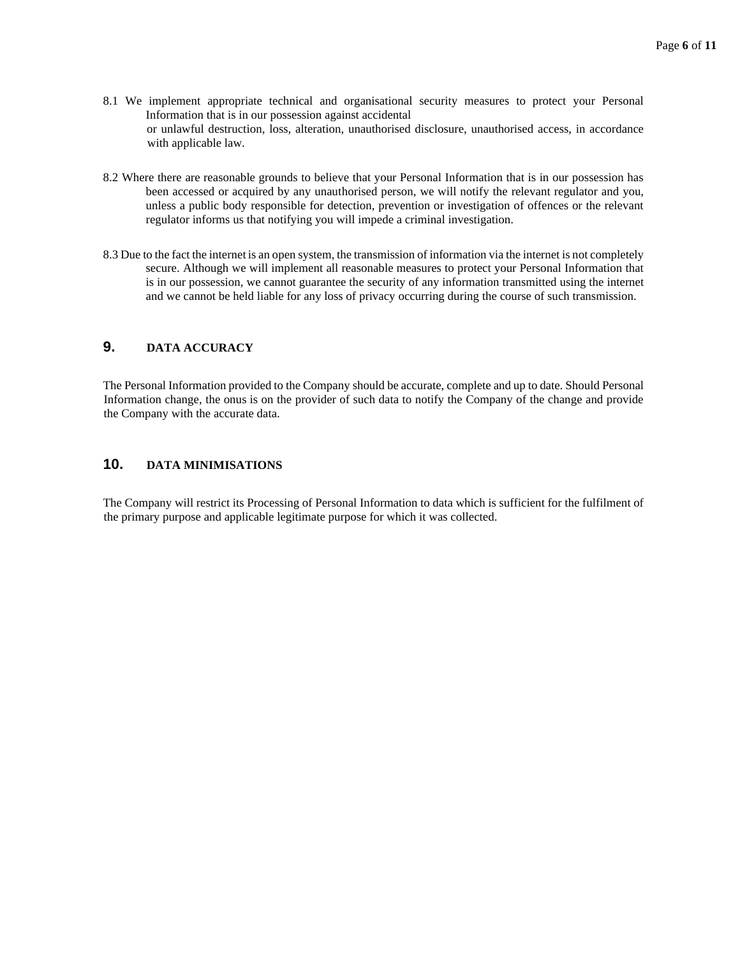- 8.1 We implement appropriate technical and organisational security measures to protect your Personal Information that is in our possession against accidental or unlawful destruction, loss, alteration, unauthorised disclosure, unauthorised access, in accordance with applicable law.
- 8.2 Where there are reasonable grounds to believe that your Personal Information that is in our possession has been accessed or acquired by any unauthorised person, we will notify the relevant regulator and you, unless a public body responsible for detection, prevention or investigation of offences or the relevant regulator informs us that notifying you will impede a criminal investigation.
- 8.3 Due to the fact the internet is an open system, the transmission of information via the internet is not completely secure. Although we will implement all reasonable measures to protect your Personal Information that is in our possession, we cannot guarantee the security of any information transmitted using the internet and we cannot be held liable for any loss of privacy occurring during the course of such transmission.

# <span id="page-33-0"></span>**9. DATA ACCURACY**

The Personal Information provided to the Company should be accurate, complete and up to date. Should Personal Information change, the onus is on the provider of such data to notify the Company of the change and provide the Company with the accurate data.

### <span id="page-33-1"></span>**10. DATA MINIMISATIONS**

The Company will restrict its Processing of Personal Information to data which is sufficient for the fulfilment of the primary purpose and applicable legitimate purpose for which it was collected.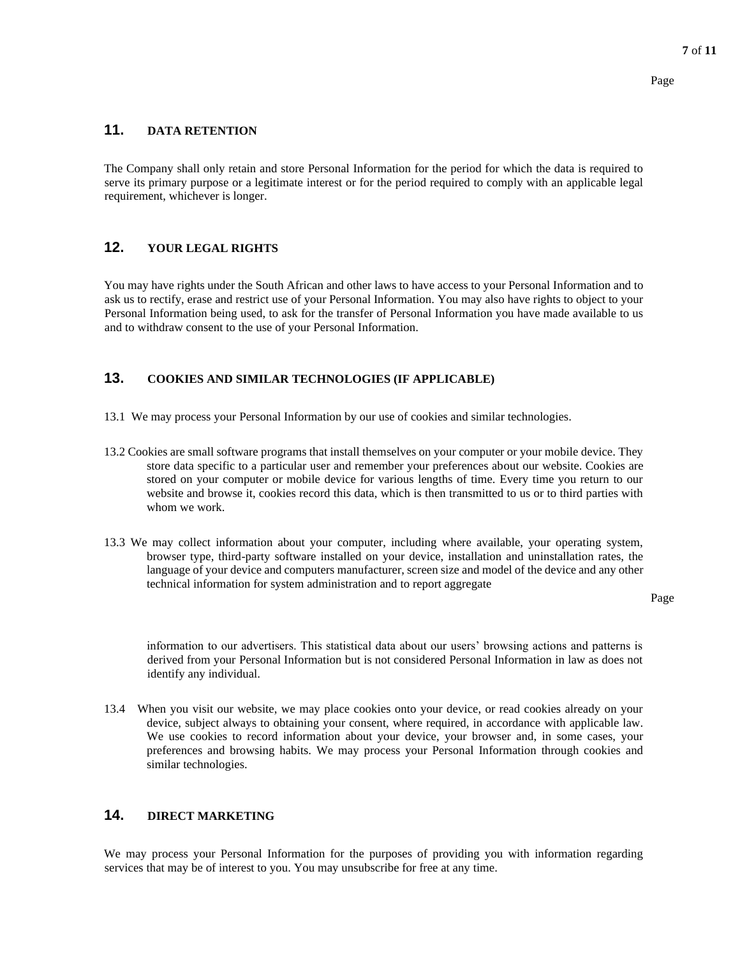### <span id="page-34-0"></span>**11. DATA RETENTION**

The Company shall only retain and store Personal Information for the period for which the data is required to serve its primary purpose or a legitimate interest or for the period required to comply with an applicable legal requirement, whichever is longer.

# <span id="page-34-1"></span>**12. YOUR LEGAL RIGHTS**

You may have rights under the South African and other laws to have access to your Personal Information and to ask us to rectify, erase and restrict use of your Personal Information. You may also have rights to object to your Personal Information being used, to ask for the transfer of Personal Information you have made available to us and to withdraw consent to the use of your Personal Information.

# <span id="page-34-2"></span>**13. COOKIES AND SIMILAR TECHNOLOGIES (IF APPLICABLE)**

- 13.1 We may process your Personal Information by our use of cookies and similar technologies.
- 13.2 Cookies are small software programs that install themselves on your computer or your mobile device. They store data specific to a particular user and remember your preferences about our website. Cookies are stored on your computer or mobile device for various lengths of time. Every time you return to our website and browse it, cookies record this data, which is then transmitted to us or to third parties with whom we work.
- 13.3 We may collect information about your computer, including where available, your operating system, browser type, third-party software installed on your device, installation and uninstallation rates, the language of your device and computers manufacturer, screen size and model of the device and any other technical information for system administration and to report aggregate

Page

information to our advertisers. This statistical data about our users' browsing actions and patterns is derived from your Personal Information but is not considered Personal Information in law as does not identify any individual.

13.4 When you visit our website, we may place cookies onto your device, or read cookies already on your device, subject always to obtaining your consent, where required, in accordance with applicable law. We use cookies to record information about your device, your browser and, in some cases, your preferences and browsing habits. We may process your Personal Information through cookies and similar technologies.

### <span id="page-34-3"></span>**14. DIRECT MARKETING**

We may process your Personal Information for the purposes of providing you with information regarding services that may be of interest to you. You may unsubscribe for free at any time.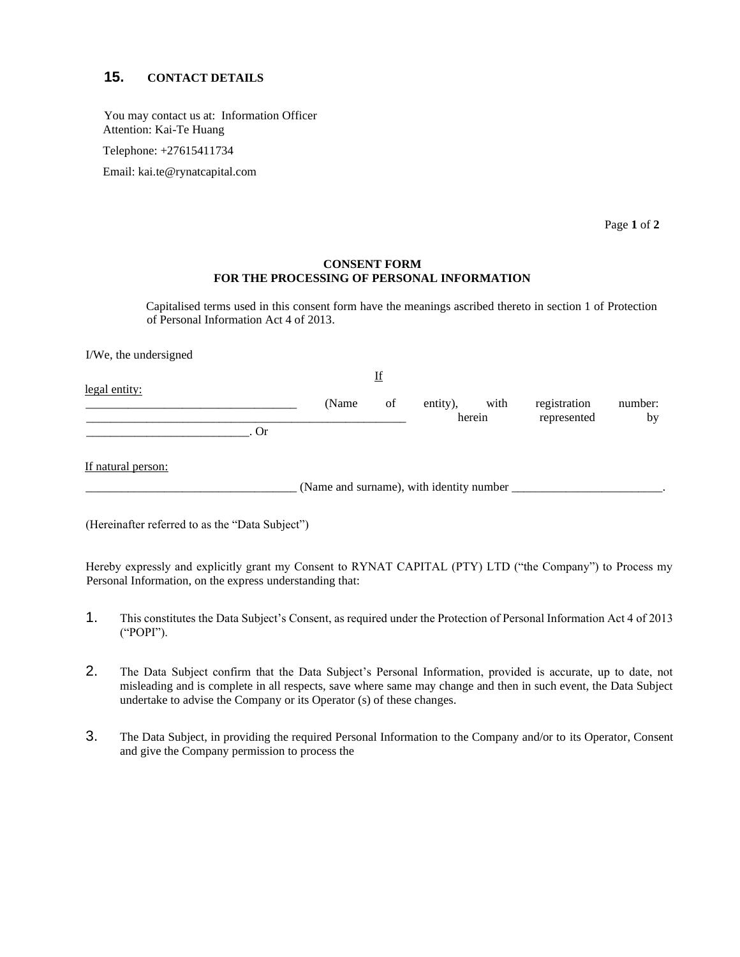# <span id="page-35-0"></span>**15. CONTACT DETAILS**

You may contact us at: Information Officer Attention: Kai-Te Huang

Telephone: +27615411734

Email: kai.te@rynatcapital.com

Page **1** of **2**

#### **CONSENT FORM FOR THE PROCESSING OF PERSONAL INFORMATION**

Capitalised terms used in this consent form have the meanings ascribed thereto in section 1 of Protection of Personal Information Act 4 of 2013.

I/We, the undersigned

|                    | $I\!f$    |                                          |    |                    |      |                             |               |
|--------------------|-----------|------------------------------------------|----|--------------------|------|-----------------------------|---------------|
| legal entity:      |           | (Name)                                   | of | entity),<br>herein | with | registration<br>represented | number:<br>by |
|                    | <b>Or</b> |                                          |    |                    |      |                             |               |
| If natural person: |           |                                          |    |                    |      |                             |               |
|                    |           | (Name and surname), with identity number |    |                    |      |                             |               |

(Hereinafter referred to as the "Data Subject")

Hereby expressly and explicitly grant my Consent to RYNAT CAPITAL (PTY) LTD ("the Company") to Process my Personal Information, on the express understanding that:

- 1. This constitutes the Data Subject's Consent, as required under the Protection of Personal Information Act 4 of 2013 ("POPI").
- 2. The Data Subject confirm that the Data Subject's Personal Information, provided is accurate, up to date, not misleading and is complete in all respects, save where same may change and then in such event, the Data Subject undertake to advise the Company or its Operator (s) of these changes.
- 3. The Data Subject, in providing the required Personal Information to the Company and/or to its Operator, Consent and give the Company permission to process the